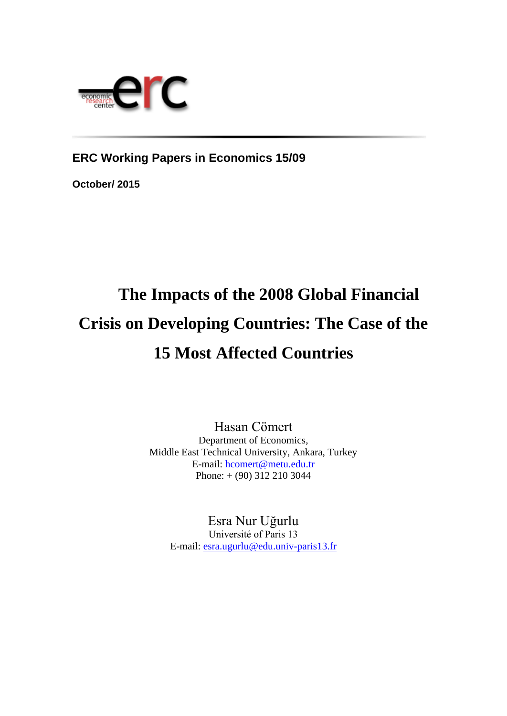

**ERC Working Papers in Economics 15/09**

**October/ 2015**

# **The Impacts of the 2008 Global Financial Crisis on Developing Countries: The Case of the 15 Most Affected Countries**

Hasan Cömert Department of Economics, Middle East Technical University, Ankara, Turkey E-mail: [hcomert@metu.edu.tr](mailto:hcomert@metu.edu.tr) Phone: + (90) 312 210 3044

Esra Nur Uğurlu Université of Paris 13 E-mail: [esra.ugurlu@edu.univ-paris13.fr](mailto:esra.ugurlu@edu.univ-paris13.fr)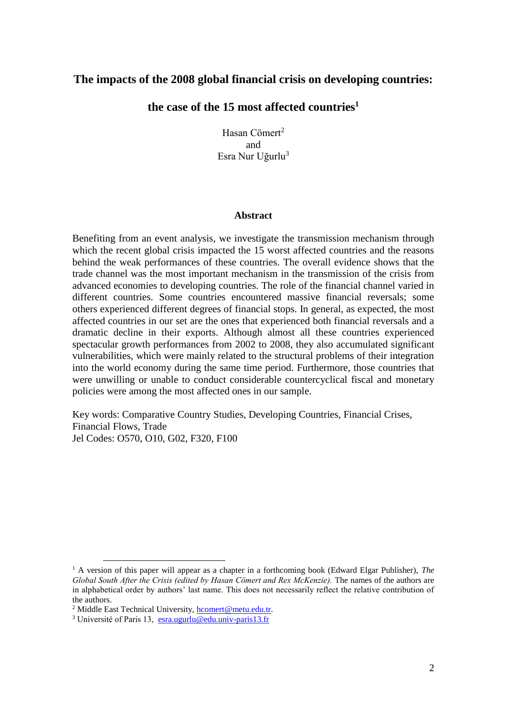# **The impacts of the 2008 global financial crisis on developing countries:**

# **the case of the 15 most affected countries<sup>1</sup>**

Hasan Cömert<sup>2</sup> and Esra Nur Uğurlu<sup>3</sup>

#### **Abstract**

Benefiting from an event analysis, we investigate the transmission mechanism through which the recent global crisis impacted the 15 worst affected countries and the reasons behind the weak performances of these countries. The overall evidence shows that the trade channel was the most important mechanism in the transmission of the crisis from advanced economies to developing countries. The role of the financial channel varied in different countries. Some countries encountered massive financial reversals; some others experienced different degrees of financial stops. In general, as expected, the most affected countries in our set are the ones that experienced both financial reversals and a dramatic decline in their exports. Although almost all these countries experienced spectacular growth performances from 2002 to 2008, they also accumulated significant vulnerabilities, which were mainly related to the structural problems of their integration into the world economy during the same time period. Furthermore, those countries that were unwilling or unable to conduct considerable countercyclical fiscal and monetary policies were among the most affected ones in our sample.

Key words: Comparative Country Studies, Developing Countries, Financial Crises, Financial Flows, Trade Jel Codes: O570, O10, G02, F320, F100

<sup>1</sup> A version of this paper will appear as a chapter in a forthcoming book (Edward Elgar Publisher), *The Global South After the Crisis (edited by Hasan Cömert and Rex McKenzie).* The names of the authors are in alphabetical order by authors' last name. This does not necessarily reflect the relative contribution of the authors.

<sup>&</sup>lt;sup>2</sup> Middle East Technical University, **hcomert@metu.edu.tr.** 

<sup>3</sup> Université of Paris 13, [esra.ugurlu@edu.univ-paris13.fr](mailto:esra.ugurlu@edu.univ-paris13.fr)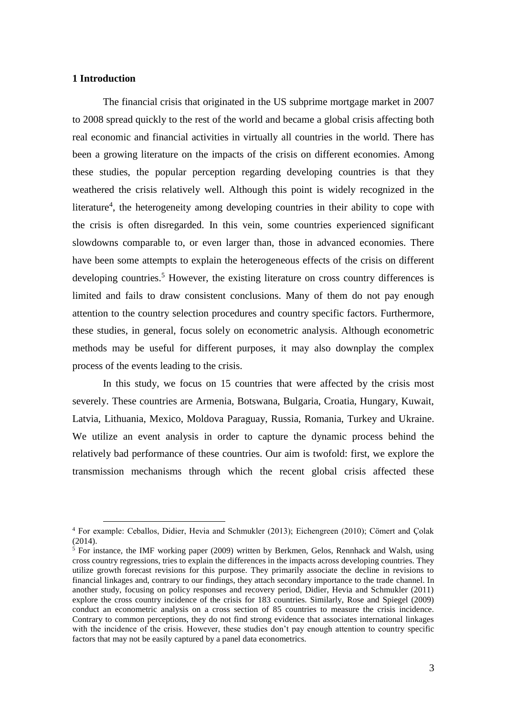## **1 Introduction**

1

The financial crisis that originated in the US subprime mortgage market in 2007 to 2008 spread quickly to the rest of the world and became a global crisis affecting both real economic and financial activities in virtually all countries in the world. There has been a growing literature on the impacts of the crisis on different economies. Among these studies, the popular perception regarding developing countries is that they weathered the crisis relatively well. Although this point is widely recognized in the literature<sup>4</sup>, the heterogeneity among developing countries in their ability to cope with the crisis is often disregarded. In this vein, some countries experienced significant slowdowns comparable to, or even larger than, those in advanced economies. There have been some attempts to explain the heterogeneous effects of the crisis on different developing countries.<sup>5</sup> However, the existing literature on cross country differences is limited and fails to draw consistent conclusions. Many of them do not pay enough attention to the country selection procedures and country specific factors. Furthermore, these studies, in general, focus solely on econometric analysis. Although econometric methods may be useful for different purposes, it may also downplay the complex process of the events leading to the crisis.

In this study, we focus on 15 countries that were affected by the crisis most severely. These countries are Armenia, Botswana, Bulgaria, Croatia, Hungary, Kuwait, Latvia, Lithuania, Mexico, Moldova Paraguay, Russia, Romania, Turkey and Ukraine. We utilize an event analysis in order to capture the dynamic process behind the relatively bad performance of these countries. Our aim is twofold: first, we explore the transmission mechanisms through which the recent global crisis affected these

<sup>4</sup> For example: Ceballos, Didier, Hevia and Schmukler (2013); Eichengreen (2010); Cömert and Çolak (2014).

<sup>&</sup>lt;sup>5</sup> For instance, the IMF working paper (2009) written by Berkmen, Gelos, Rennhack and Walsh, using cross country regressions, tries to explain the differences in the impacts across developing countries. They utilize growth forecast revisions for this purpose. They primarily associate the decline in revisions to financial linkages and, contrary to our findings, they attach secondary importance to the trade channel. In another study, focusing on policy responses and recovery period, Didier, Hevia and Schmukler (2011) explore the cross country incidence of the crisis for 183 countries. Similarly, Rose and Spiegel (2009) conduct an econometric analysis on a cross section of 85 countries to measure the crisis incidence. Contrary to common perceptions, they do not find strong evidence that associates international linkages with the incidence of the crisis. However, these studies don't pay enough attention to country specific factors that may not be easily captured by a panel data econometrics.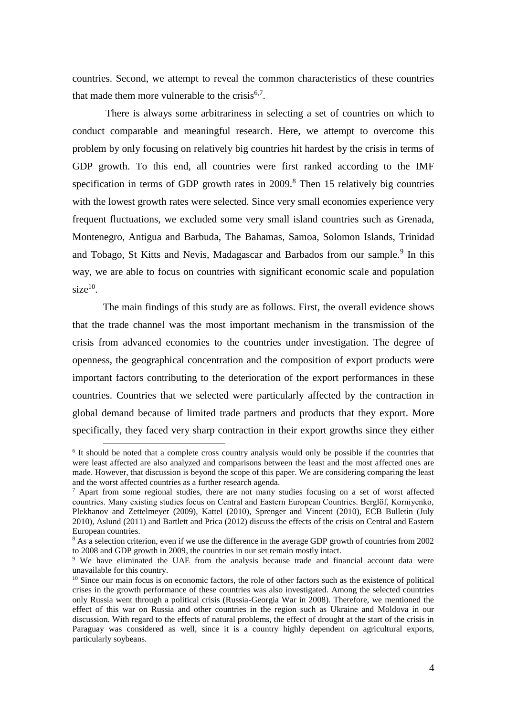countries. Second, we attempt to reveal the common characteristics of these countries that made them more vulnerable to the crisis $6.7$ .

There is always some arbitrariness in selecting a set of countries on which to conduct comparable and meaningful research. Here, we attempt to overcome this problem by only focusing on relatively big countries hit hardest by the crisis in terms of GDP growth. To this end, all countries were first ranked according to the IMF specification in terms of GDP growth rates in  $2009$ .<sup>8</sup> Then 15 relatively big countries with the lowest growth rates were selected. Since very small economies experience very frequent fluctuations, we excluded some very small island countries such as Grenada, Montenegro, Antigua and Barbuda, The Bahamas, Samoa, Solomon Islands, Trinidad and Tobago, St Kitts and Nevis, Madagascar and Barbados from our sample.<sup>9</sup> In this way, we are able to focus on countries with significant economic scale and population  $size<sup>10</sup>$ .

The main findings of this study are as follows. First, the overall evidence shows that the trade channel was the most important mechanism in the transmission of the crisis from advanced economies to the countries under investigation. The degree of openness, the geographical concentration and the composition of export products were important factors contributing to the deterioration of the export performances in these countries. Countries that we selected were particularly affected by the contraction in global demand because of limited trade partners and products that they export. More specifically, they faced very sharp contraction in their export growths since they either

<u>.</u>

<sup>&</sup>lt;sup>6</sup> It should be noted that a complete cross country analysis would only be possible if the countries that were least affected are also analyzed and comparisons between the least and the most affected ones are made. However, that discussion is beyond the scope of this paper. We are considering comparing the least and the worst affected countries as a further research agenda.

 $^7$  Apart from some regional studies, there are not many studies focusing on a set of worst affected countries. Many existing studies focus on Central and Eastern European Countries. Berglöf, Korniyenko, Plekhanov and Zettelmeyer (2009), Kattel (2010), Sprenger and Vincent (2010), ECB Bulletin (July 2010), Aslund (2011) and Bartlett and Prica (2012) discuss the effects of the crisis on Central and Eastern European countries.

<sup>&</sup>lt;sup>8</sup> As a selection criterion, even if we use the difference in the average GDP growth of countries from 2002 to 2008 and GDP growth in 2009, the countries in our set remain mostly intact.

<sup>9</sup> We have eliminated the UAE from the analysis because trade and financial account data were unavailable for this country.

<sup>&</sup>lt;sup>10</sup> Since our main focus is on economic factors, the role of other factors such as the existence of political crises in the growth performance of these countries was also investigated. Among the selected countries only Russia went through a political crisis (Russia-Georgia War in 2008). Therefore, we mentioned the effect of this war on Russia and other countries in the region such as Ukraine and Moldova in our discussion. With regard to the effects of natural problems, the effect of drought at the start of the crisis in Paraguay was considered as well, since it is a country highly dependent on agricultural exports, particularly soybeans.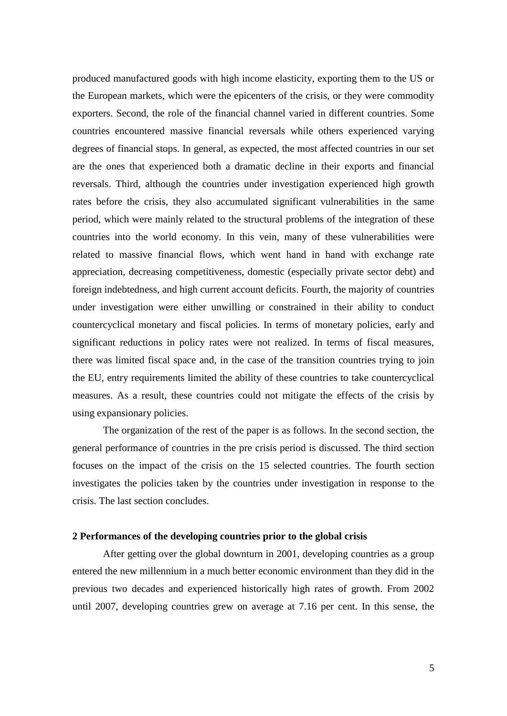produced manufactured goods with high income elasticity, exporting them to the US or the European markets, which were the epicenters of the crisis, or they were commodity exporters. Second, the role of the financial channel varied in different countries. Some countries encountered massive financial reversals while others experienced varying degrees of financial stops. In general, as expected, the most affected countries in our set are the ones that experienced both a dramatic decline in their exports and financial reversals. Third, although the countries under investigation experienced high growth rates before the crisis, they also accumulated significant vulnerabilities in the same period, which were mainly related to the structural problems of the integration of these countries into the world economy. In this vein, many of these vulnerabilities were related to massive financial flows, which went hand in hand with exchange rate appreciation, decreasing competitiveness, domestic (especially private sector debt) and foreign indebtedness, and high current account deficits. Fourth, the majority of countries under investigation were either unwilling or constrained in their ability to conduct countercyclical monetary and fiscal policies. In terms of monetary policies, early and significant reductions in policy rates were not realized. In terms of fiscal measures, there was limited fiscal space and, in the case of the transition countries trying to join the EU, entry requirements limited the ability of these countries to take countercyclical measures. As a result, these countries could not mitigate the effects of the crisis by using expansionary policies.

The organization of the rest of the paper is as follows. In the second section, the general performance of countries in the pre crisis period is discussed. The third section focuses on the impact of the crisis on the 15 selected countries. The fourth section investigates the policies taken by the countries under investigation in response to the crisis. The last section concludes.

#### **2 Performances of the developing countries prior to the global crisis**

After getting over the global downturn in 2001, developing countries as a group entered the new millennium in a much better economic environment than they did in the previous two decades and experienced historically high rates of growth. From 2002 until 2007, developing countries grew on average at 7.16 per cent. In this sense, the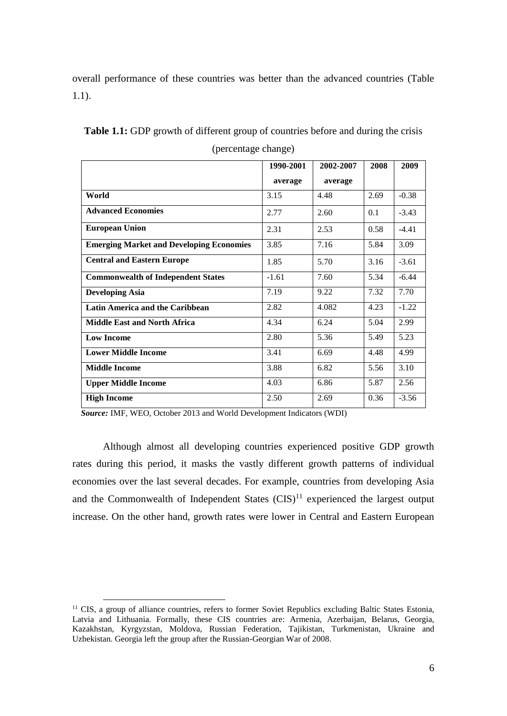overall performance of these countries was better than the advanced countries (Table 1.1).

|                                                 | 1990-2001 | 2002-2007 | 2008 | 2009    |
|-------------------------------------------------|-----------|-----------|------|---------|
|                                                 | average   | average   |      |         |
| World                                           | 3.15      | 4.48      | 2.69 | $-0.38$ |
| <b>Advanced Economies</b>                       | 2.77      | 2.60      | 0.1  | $-3.43$ |
| <b>European Union</b>                           | 2.31      | 2.53      | 0.58 | $-4.41$ |
| <b>Emerging Market and Developing Economies</b> | 3.85      | 7.16      | 5.84 | 3.09    |
| <b>Central and Eastern Europe</b>               | 1.85      | 5.70      | 3.16 | $-3.61$ |
| <b>Commonwealth of Independent States</b>       | $-1.61$   | 7.60      | 5.34 | $-6.44$ |
| <b>Developing Asia</b>                          | 7.19      | 9.22      | 7.32 | 7.70    |
| Latin America and the Caribbean                 | 2.82      | 4.082     | 4.23 | $-1.22$ |
| <b>Middle East and North Africa</b>             | 4.34      | 6.24      | 5.04 | 2.99    |
| <b>Low Income</b>                               | 2.80      | 5.36      | 5.49 | 5.23    |
| <b>Lower Middle Income</b>                      | 3.41      | 6.69      | 4.48 | 4.99    |
| <b>Middle Income</b>                            | 3.88      | 6.82      | 5.56 | 3.10    |
| <b>Upper Middle Income</b>                      | 4.03      | 6.86      | 5.87 | 2.56    |
| <b>High Income</b>                              | 2.50      | 2.69      | 0.36 | $-3.56$ |

**Table 1.1:** GDP growth of different group of countries before and during the crisis (percentage change)

 *Source:* IMF, WEO, October 2013 and World Development Indicators (WDI)

<u>.</u>

Although almost all developing countries experienced positive GDP growth rates during this period, it masks the vastly different growth patterns of individual economies over the last several decades. For example, countries from developing Asia and the Commonwealth of Independent States  $(CIS)^{11}$  experienced the largest output increase. On the other hand, growth rates were lower in Central and Eastern European

<sup>&</sup>lt;sup>11</sup> CIS, a group of alliance countries, refers to former Soviet Republics excluding Baltic States Estonia, Latvia and Lithuania. Formally, these CIS countries are: Armenia, Azerbaijan, Belarus, Georgia, Kazakhstan, Kyrgyzstan, Moldova, Russian Federation, Tajikistan, Turkmenistan, Ukraine and Uzbekistan. Georgia left the group after the Russian-Georgian War of 2008.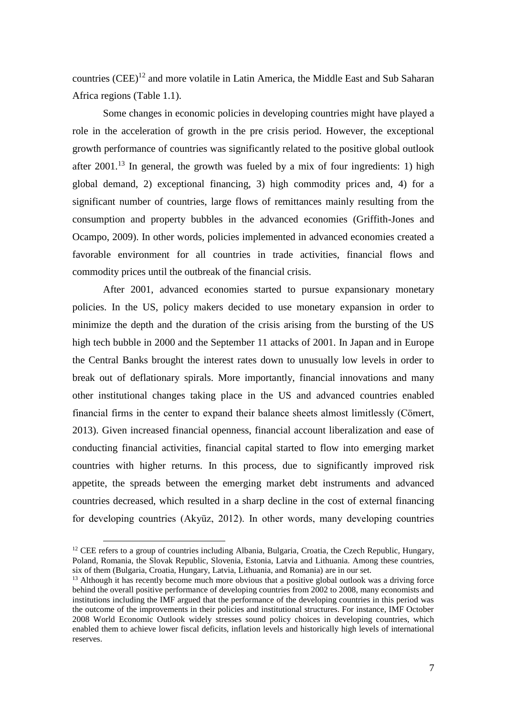countries (CEE)<sup>12</sup> and more volatile in Latin America, the Middle East and Sub Saharan Africa regions (Table 1.1).

Some changes in economic policies in developing countries might have played a role in the acceleration of growth in the pre crisis period. However, the exceptional growth performance of countries was significantly related to the positive global outlook after 2001.<sup>13</sup> In general, the growth was fueled by a mix of four ingredients: 1) high global demand, 2) exceptional financing, 3) high commodity prices and, 4) for a significant number of countries, large flows of remittances mainly resulting from the consumption and property bubbles in the advanced economies (Griffith-Jones and Ocampo, 2009). In other words, policies implemented in advanced economies created a favorable environment for all countries in trade activities, financial flows and commodity prices until the outbreak of the financial crisis.

After 2001, advanced economies started to pursue expansionary monetary policies. In the US, policy makers decided to use monetary expansion in order to minimize the depth and the duration of the crisis arising from the bursting of the US high tech bubble in 2000 and the September 11 attacks of 2001. In Japan and in Europe the Central Banks brought the interest rates down to unusually low levels in order to break out of deflationary spirals. More importantly, financial innovations and many other institutional changes taking place in the US and advanced countries enabled financial firms in the center to expand their balance sheets almost limitlessly (Cömert, 2013). Given increased financial openness, financial account liberalization and ease of conducting financial activities, financial capital started to flow into emerging market countries with higher returns. In this process, due to significantly improved risk appetite, the spreads between the emerging market debt instruments and advanced countries decreased, which resulted in a sharp decline in the cost of external financing for developing countries (Akyüz, 2012). In other words, many developing countries

<u>.</u>

 $12$  CEE refers to a group of countries including Albania, Bulgaria, Croatia, the Czech Republic, Hungary, Poland, Romania, the Slovak Republic, Slovenia, Estonia, Latvia and Lithuania. Among these countries, six of them (Bulgaria, Croatia, Hungary, Latvia, Lithuania, and Romania) are in our set.

 $13$  Although it has recently become much more obvious that a positive global outlook was a driving force behind the overall positive performance of developing countries from 2002 to 2008, many economists and institutions including the IMF argued that the performance of the developing countries in this period was the outcome of the improvements in their policies and institutional structures. For instance, IMF October 2008 World Economic Outlook widely stresses sound policy choices in developing countries, which enabled them to achieve lower fiscal deficits, inflation levels and historically high levels of international reserves.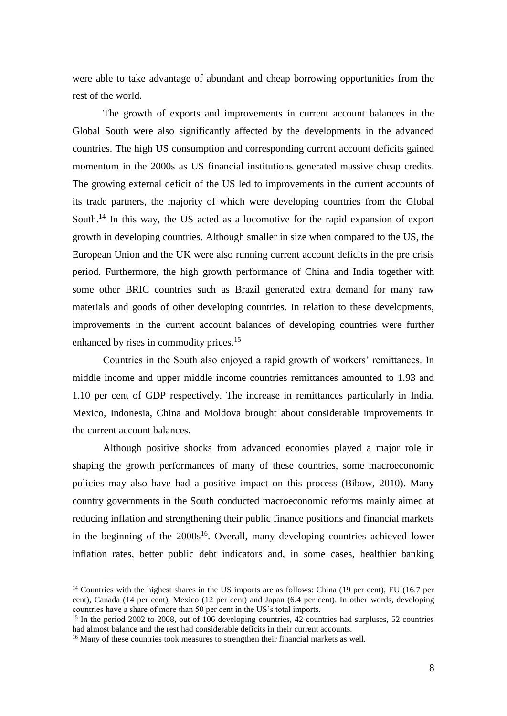were able to take advantage of abundant and cheap borrowing opportunities from the rest of the world.

The growth of exports and improvements in current account balances in the Global South were also significantly affected by the developments in the advanced countries. The high US consumption and corresponding current account deficits gained momentum in the 2000s as US financial institutions generated massive cheap credits. The growing external deficit of the US led to improvements in the current accounts of its trade partners, the majority of which were developing countries from the Global South.<sup>14</sup> In this way, the US acted as a locomotive for the rapid expansion of export growth in developing countries. Although smaller in size when compared to the US, the European Union and the UK were also running current account deficits in the pre crisis period. Furthermore, the high growth performance of China and India together with some other BRIC countries such as Brazil generated extra demand for many raw materials and goods of other developing countries. In relation to these developments, improvements in the current account balances of developing countries were further enhanced by rises in commodity prices.<sup>15</sup>

Countries in the South also enjoyed a rapid growth of workers' remittances. In middle income and upper middle income countries remittances amounted to 1.93 and 1.10 per cent of GDP respectively. The increase in remittances particularly in India, Mexico, Indonesia, China and Moldova brought about considerable improvements in the current account balances.

Although positive shocks from advanced economies played a major role in shaping the growth performances of many of these countries, some macroeconomic policies may also have had a positive impact on this process (Bibow, 2010). Many country governments in the South conducted macroeconomic reforms mainly aimed at reducing inflation and strengthening their public finance positions and financial markets in the beginning of the  $2000s^{16}$ . Overall, many developing countries achieved lower inflation rates, better public debt indicators and, in some cases, healthier banking

<sup>&</sup>lt;sup>14</sup> Countries with the highest shares in the US imports are as follows: China (19 per cent), EU (16.7 per cent), Canada (14 per cent), Mexico (12 per cent) and Japan (6.4 per cent). In other words, developing countries have a share of more than 50 per cent in the US's total imports.

<sup>&</sup>lt;sup>15</sup> In the period 2002 to 2008, out of 106 developing countries,  $42$  countries had surpluses, 52 countries had almost balance and the rest had considerable deficits in their current accounts.

<sup>&</sup>lt;sup>16</sup> Many of these countries took measures to strengthen their financial markets as well.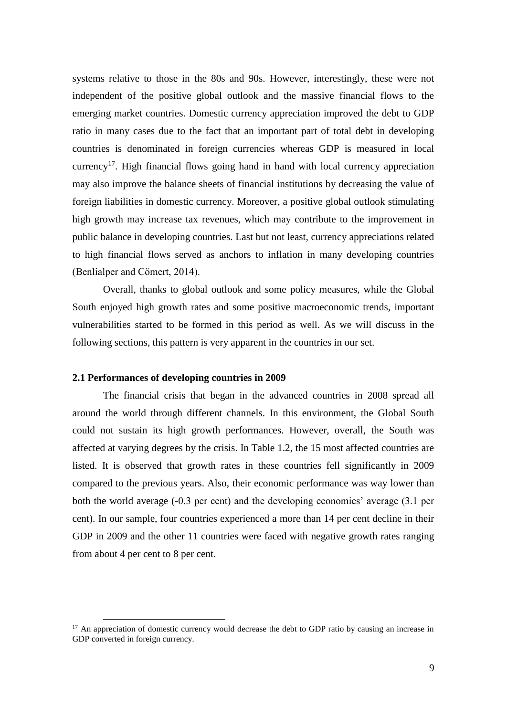systems relative to those in the 80s and 90s. However, interestingly, these were not independent of the positive global outlook and the massive financial flows to the emerging market countries. Domestic currency appreciation improved the debt to GDP ratio in many cases due to the fact that an important part of total debt in developing countries is denominated in foreign currencies whereas GDP is measured in local currency<sup>17</sup>. High financial flows going hand in hand with local currency appreciation may also improve the balance sheets of financial institutions by decreasing the value of foreign liabilities in domestic currency. Moreover, a positive global outlook stimulating high growth may increase tax revenues, which may contribute to the improvement in public balance in developing countries. Last but not least, currency appreciations related to high financial flows served as anchors to inflation in many developing countries (Benlialper and Cömert, 2014).

Overall, thanks to global outlook and some policy measures, while the Global South enjoyed high growth rates and some positive macroeconomic trends, important vulnerabilities started to be formed in this period as well. As we will discuss in the following sections, this pattern is very apparent in the countries in our set.

# **2.1 Performances of developing countries in 2009**

1

The financial crisis that began in the advanced countries in 2008 spread all around the world through different channels. In this environment, the Global South could not sustain its high growth performances. However, overall, the South was affected at varying degrees by the crisis. In Table 1.2, the 15 most affected countries are listed. It is observed that growth rates in these countries fell significantly in 2009 compared to the previous years. Also, their economic performance was way lower than both the world average (-0.3 per cent) and the developing economies' average (3.1 per cent). In our sample, four countries experienced a more than 14 per cent decline in their GDP in 2009 and the other 11 countries were faced with negative growth rates ranging from about 4 per cent to 8 per cent.

 $17$  An appreciation of domestic currency would decrease the debt to GDP ratio by causing an increase in GDP converted in foreign currency.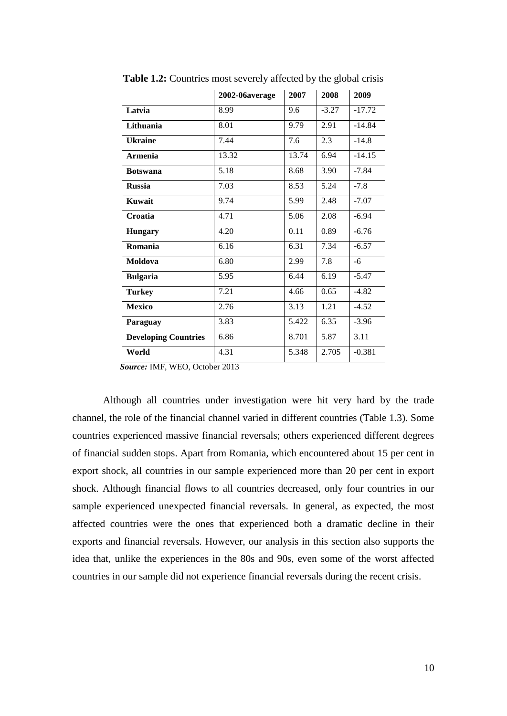|                             | 2002-06average | 2007  | 2008    | 2009     |
|-----------------------------|----------------|-------|---------|----------|
| Latvia                      | 8.99           | 9.6   | $-3.27$ | $-17.72$ |
| Lithuania                   | 8.01           | 9.79  | 2.91    | $-14.84$ |
| <b>Ukraine</b>              | 7.44           | 7.6   | 2.3     | $-14.8$  |
| <b>Armenia</b>              | 13.32          | 13.74 | 6.94    | $-14.15$ |
| <b>Botswana</b>             | 5.18           | 8.68  | 3.90    | $-7.84$  |
| <b>Russia</b>               | 7.03           | 8.53  | 5.24    | $-7.8$   |
| Kuwait                      | 9.74           | 5.99  | 2.48    | $-7.07$  |
| Croatia                     | 4.71           | 5.06  | 2.08    | $-6.94$  |
| <b>Hungary</b>              | 4.20           | 0.11  | 0.89    | $-6.76$  |
| Romania                     | 6.16           | 6.31  | 7.34    | $-6.57$  |
| Moldova                     | 6.80           | 2.99  | 7.8     | $-6$     |
| <b>Bulgaria</b>             | 5.95           | 6.44  | 6.19    | $-5.47$  |
| <b>Turkey</b>               | 7.21           | 4.66  | 0.65    | $-4.82$  |
| <b>Mexico</b>               | 2.76           | 3.13  | 1.21    | $-4.52$  |
| Paraguay                    | 3.83           | 5.422 | 6.35    | $-3.96$  |
| <b>Developing Countries</b> | 6.86           | 8.701 | 5.87    | 3.11     |
| World                       | 4.31           | 5.348 | 2.705   | $-0.381$ |

**Table 1.2:** Countries most severely affected by the global crisis

 *Source:* IMF, WEO, October 2013

Although all countries under investigation were hit very hard by the trade channel, the role of the financial channel varied in different countries (Table 1.3). Some countries experienced massive financial reversals; others experienced different degrees of financial sudden stops. Apart from Romania, which encountered about 15 per cent in export shock, all countries in our sample experienced more than 20 per cent in export shock. Although financial flows to all countries decreased, only four countries in our sample experienced unexpected financial reversals. In general, as expected, the most affected countries were the ones that experienced both a dramatic decline in their exports and financial reversals. However, our analysis in this section also supports the idea that, unlike the experiences in the 80s and 90s, even some of the worst affected countries in our sample did not experience financial reversals during the recent crisis.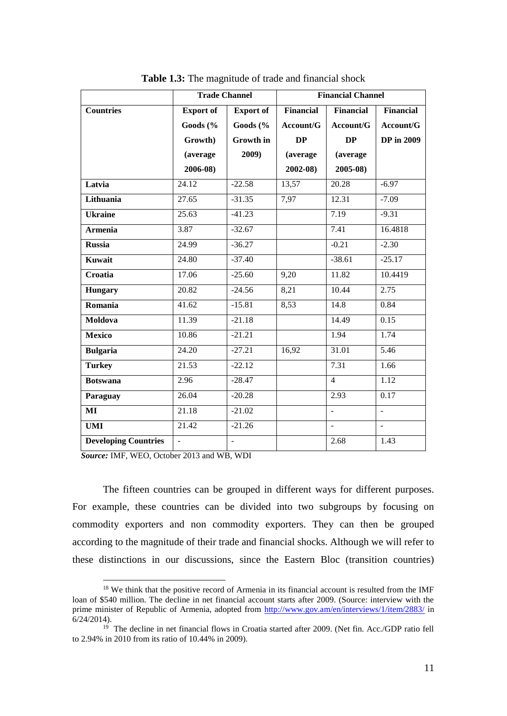|                             | <b>Trade Channel</b> |                  | <b>Financial Channel</b> |                  |                   |
|-----------------------------|----------------------|------------------|--------------------------|------------------|-------------------|
| <b>Countries</b>            | <b>Export of</b>     | <b>Export of</b> | <b>Financial</b>         | <b>Financial</b> | <b>Financial</b>  |
|                             | Goods (%             | Goods (%         | Account/G                | Account/G        | Account/G         |
|                             | Growth)              | Growth in        | DP                       | DP               | <b>DP</b> in 2009 |
|                             | (average             | 2009)            | (average                 | (average         |                   |
|                             | 2006-08)             |                  | $2002 - 08$              | 2005-08)         |                   |
| Latvia                      | 24.12                | $-22.58$         | 13,57                    | 20.28            | $-6.97$           |
| Lithuania                   | 27.65                | $-31.35$         | 7,97                     | 12.31            | $-7.09$           |
| <b>Ukraine</b>              | 25.63                | $-41.23$         |                          | 7.19             | $-9.31$           |
| <b>Armenia</b>              | 3.87                 | $-32.67$         |                          | 7.41             | 16.4818           |
| <b>Russia</b>               | 24.99                | $-36.27$         |                          | $-0.21$          | $-2.30$           |
| Kuwait                      | 24.80                | $-37.40$         |                          | $-38.61$         | $-25.17$          |
| Croatia                     | 17.06                | $-25.60$         | 9,20                     | 11.82            | 10.4419           |
| Hungary                     | 20.82                | $-24.56$         | 8,21                     | 10.44            | 2.75              |
| Romania                     | 41.62                | $-15.81$         | 8,53                     | 14.8             | 0.84              |
| Moldova                     | 11.39                | $-21.18$         |                          | 14.49            | 0.15              |
| <b>Mexico</b>               | 10.86                | $-21.21$         |                          | 1.94             | 1.74              |
| <b>Bulgaria</b>             | 24.20                | $-27.21$         | 16,92                    | 31.01            | 5.46              |
| <b>Turkey</b>               | 21.53                | $-22.12$         |                          | 7.31             | 1.66              |
| <b>Botswana</b>             | 2.96                 | $-28.47$         |                          | $\overline{4}$   | 1.12              |
| Paraguay                    | 26.04                | $-20.28$         |                          | 2.93             | 0.17              |
| MI                          | 21.18                | $-21.02$         |                          | $\overline{a}$   | $\mathbb{L}^+$    |
| <b>UMI</b>                  | 21.42                | $-21.26$         |                          | $\sim$           | $\mathbf{u}$      |
| <b>Developing Countries</b> |                      | $\frac{1}{2}$    |                          | 2.68             | 1.43              |

**Table 1.3:** The magnitude of trade and financial shock

 *Source:* IMF, WEO, October 2013 and WB, WDI

1

The fifteen countries can be grouped in different ways for different purposes. For example, these countries can be divided into two subgroups by focusing on commodity exporters and non commodity exporters. They can then be grouped according to the magnitude of their trade and financial shocks. Although we will refer to these distinctions in our discussions, since the Eastern Bloc (transition countries)

<sup>&</sup>lt;sup>18</sup> We think that the positive record of Armenia in its financial account is resulted from the IMF loan of \$540 million. The decline in net financial account starts after 2009. (Source: interview with the prime minister of Republic of Armenia, adopted from<http://www.gov.am/en/interviews/1/item/2883/> in 6/24/2014).

<sup>&</sup>lt;sup>19</sup> The decline in net financial flows in Croatia started after 2009. (Net fin. Acc./GDP ratio fell to 2.94% in 2010 from its ratio of 10.44% in 2009).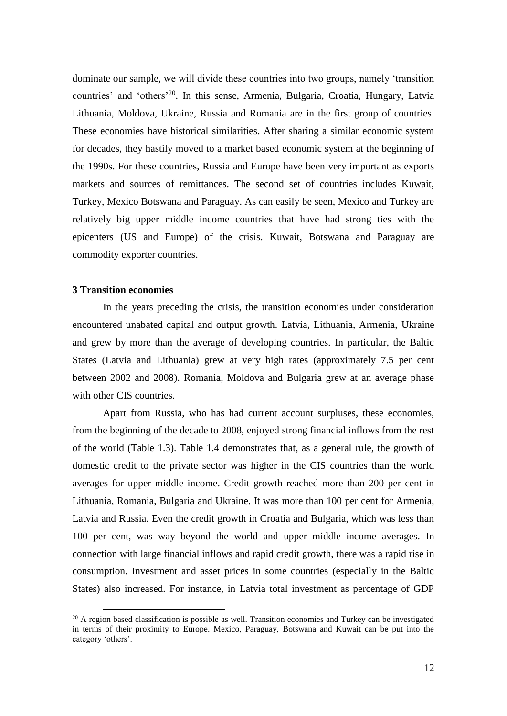dominate our sample, we will divide these countries into two groups, namely 'transition countries' and 'others'<sup>20</sup>. In this sense, Armenia, Bulgaria, Croatia, Hungary, Latvia Lithuania, Moldova, Ukraine, Russia and Romania are in the first group of countries. These economies have historical similarities. After sharing a similar economic system for decades, they hastily moved to a market based economic system at the beginning of the 1990s. For these countries, Russia and Europe have been very important as exports markets and sources of remittances. The second set of countries includes Kuwait, Turkey, Mexico Botswana and Paraguay. As can easily be seen, Mexico and Turkey are relatively big upper middle income countries that have had strong ties with the epicenters (US and Europe) of the crisis. Kuwait, Botswana and Paraguay are commodity exporter countries.

#### **3 Transition economies**

1

In the years preceding the crisis, the transition economies under consideration encountered unabated capital and output growth. Latvia, Lithuania, Armenia, Ukraine and grew by more than the average of developing countries. In particular, the Baltic States (Latvia and Lithuania) grew at very high rates (approximately 7.5 per cent between 2002 and 2008). Romania, Moldova and Bulgaria grew at an average phase with other CIS countries.

Apart from Russia, who has had current account surpluses, these economies, from the beginning of the decade to 2008, enjoyed strong financial inflows from the rest of the world (Table 1.3). Table 1.4 demonstrates that, as a general rule, the growth of domestic credit to the private sector was higher in the CIS countries than the world averages for upper middle income. Credit growth reached more than 200 per cent in Lithuania, Romania, Bulgaria and Ukraine. It was more than 100 per cent for Armenia, Latvia and Russia. Even the credit growth in Croatia and Bulgaria, which was less than 100 per cent, was way beyond the world and upper middle income averages. In connection with large financial inflows and rapid credit growth, there was a rapid rise in consumption. Investment and asset prices in some countries (especially in the Baltic States) also increased. For instance, in Latvia total investment as percentage of GDP

 $20$  A region based classification is possible as well. Transition economies and Turkey can be investigated in terms of their proximity to Europe. Mexico, Paraguay, Botswana and Kuwait can be put into the category 'others'.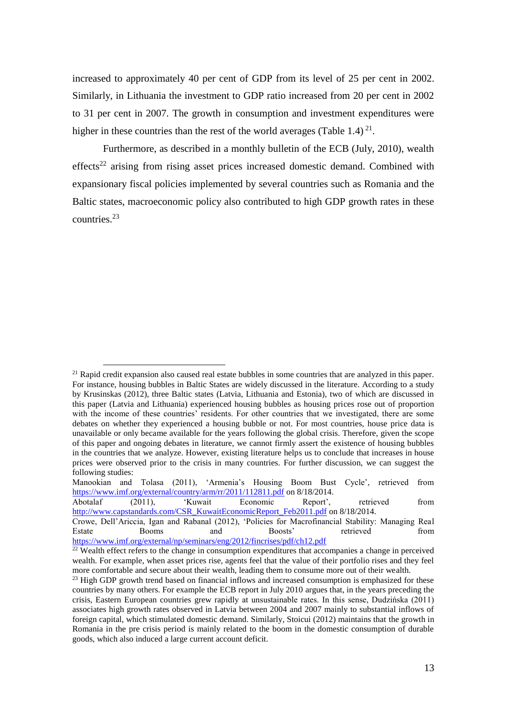increased to approximately 40 per cent of GDP from its level of 25 per cent in 2002. Similarly, in Lithuania the investment to GDP ratio increased from 20 per cent in 2002 to 31 per cent in 2007. The growth in consumption and investment expenditures were higher in these countries than the rest of the world averages (Table 1.4) $^{21}$ .

Furthermore, as described in a monthly bulletin of the ECB (July, 2010), wealth effects<sup>22</sup> arising from rising asset prices increased domestic demand. Combined with expansionary fiscal policies implemented by several countries such as Romania and the Baltic states, macroeconomic policy also contributed to high GDP growth rates in these countries.<sup>23</sup>

<u>.</u>

 $21$  Rapid credit expansion also caused real estate bubbles in some countries that are analyzed in this paper. For instance, housing bubbles in Baltic States are widely discussed in the literature. According to a study by Krusinskas (2012), three Baltic states (Latvia, Lithuania and Estonia), two of which are discussed in this paper (Latvia and Lithuania) experienced housing bubbles as housing prices rose out of proportion with the income of these countries' residents. For other countries that we investigated, there are some debates on whether they experienced a housing bubble or not. For most countries, house price data is unavailable or only became available for the years following the global crisis. Therefore, given the scope of this paper and ongoing debates in literature, we cannot firmly assert the existence of housing bubbles in the countries that we analyze. However, existing literature helps us to conclude that increases in house prices were observed prior to the crisis in many countries. For further discussion, we can suggest the following studies:

Manookian and Tolasa (2011), 'Armenia's Housing Boom Bust Cycle', retrieved from <https://www.imf.org/external/country/arm/rr/2011/112811.pdf> on 8/18/2014.

Abotalaf (2011), 'Kuwait Economic Report', retrieved from [http://www.capstandards.com/CSR\\_KuwaitEconomicReport\\_Feb2011.pdf](http://www.capstandards.com/CSR_KuwaitEconomicReport_Feb2011.pdf) on 8/18/2014.

Crowe, Dell'Ariccia, Igan and Rabanal (2012), 'Policies for Macrofinancial Stability: Managing Real Estate Booms and Boosts' retrieved from <https://www.imf.org/external/np/seminars/eng/2012/fincrises/pdf/ch12.pdf>

 $22$  Wealth effect refers to the change in consumption expenditures that accompanies a change in perceived wealth. For example, when asset prices rise, agents feel that the value of their portfolio rises and they feel more comfortable and secure about their wealth, leading them to consume more out of their wealth.

 $^{23}$  High GDP growth trend based on financial inflows and increased consumption is emphasized for these countries by many others. For example the ECB report in July 2010 argues that, in the years preceding the crisis, Eastern European countries grew rapidly at unsustainable rates. In this sense, Dudzińska (2011) associates high growth rates observed in Latvia between 2004 and 2007 mainly to substantial inflows of foreign capital, which stimulated domestic demand. Similarly, Stoicui (2012) maintains that the growth in Romania in the pre crisis period is mainly related to the boom in the domestic consumption of durable goods, which also induced a large current account deficit.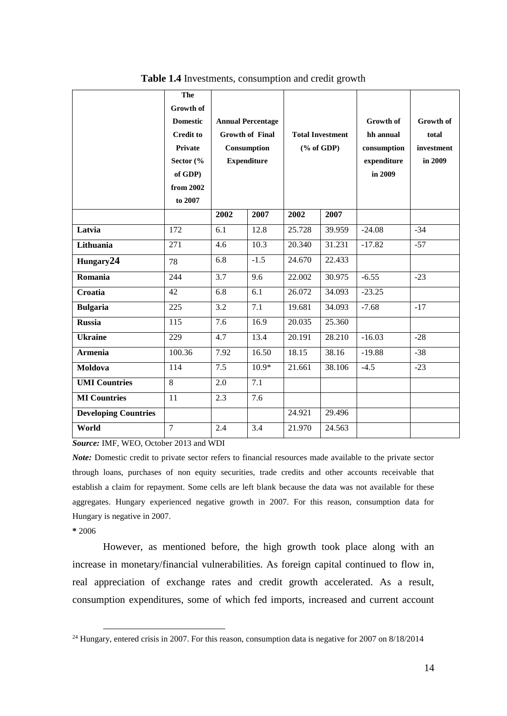|                             | The<br><b>Growth of</b><br><b>Domestic</b><br><b>Credit to</b><br>Private<br>Sector $\left(\%\right)$<br>of GDP)<br>from 2002<br>to 2007 |      | <b>Annual Percentage</b><br><b>Growth of Final</b><br>Consumption<br><b>Expenditure</b> | <b>Total Investment</b><br>$(\%$ of GDP) |        | <b>Growth of</b><br>hh annual<br>consumption<br>expenditure<br>in 2009 | <b>Growth of</b><br>total<br>investment<br>in 2009 |
|-----------------------------|------------------------------------------------------------------------------------------------------------------------------------------|------|-----------------------------------------------------------------------------------------|------------------------------------------|--------|------------------------------------------------------------------------|----------------------------------------------------|
|                             |                                                                                                                                          | 2002 | 2007                                                                                    | 2002                                     | 2007   |                                                                        |                                                    |
| Latvia                      | 172                                                                                                                                      | 6.1  | 12.8                                                                                    | 25.728                                   | 39.959 | $-24.08$                                                               | $-34$                                              |
| Lithuania                   | 271                                                                                                                                      | 4.6  | 10.3                                                                                    | 20.340                                   | 31.231 | $-17.82$                                                               | $-57$                                              |
| Hungary24                   | 78                                                                                                                                       | 6.8  | $-1.5$                                                                                  | 24.670                                   | 22.433 |                                                                        |                                                    |
| Romania                     | 244                                                                                                                                      | 3.7  | 9.6                                                                                     | 22.002                                   | 30.975 | $-6.55$                                                                | $-23$                                              |
| Croatia                     | 42                                                                                                                                       | 6.8  | 6.1                                                                                     | 26.072                                   | 34.093 | $-23.25$                                                               |                                                    |
| <b>Bulgaria</b>             | 225                                                                                                                                      | 3.2  | 7.1                                                                                     | 19.681                                   | 34.093 | $-7.68$                                                                | $-17$                                              |
| <b>Russia</b>               | 115                                                                                                                                      | 7.6  | 16.9                                                                                    | 20.035                                   | 25.360 |                                                                        |                                                    |
| <b>Ukraine</b>              | 229                                                                                                                                      | 4.7  | 13.4                                                                                    | 20.191                                   | 28.210 | $-16.03$                                                               | $-28$                                              |
| <b>Armenia</b>              | 100.36                                                                                                                                   | 7.92 | 16.50                                                                                   | 18.15                                    | 38.16  | $-19.88$                                                               | $-38$                                              |
| Moldova                     | 114                                                                                                                                      | 7.5  | $10.9*$                                                                                 | 21.661                                   | 38.106 | $-4.5$                                                                 | $-23$                                              |
| <b>UMI Countries</b>        | 8                                                                                                                                        | 2.0  | $\overline{7.1}$                                                                        |                                          |        |                                                                        |                                                    |
| <b>MI</b> Countries         | 11                                                                                                                                       | 2.3  | 7.6                                                                                     |                                          |        |                                                                        |                                                    |
| <b>Developing Countries</b> |                                                                                                                                          |      |                                                                                         | 24.921                                   | 29.496 |                                                                        |                                                    |
| World                       | $\overline{7}$                                                                                                                           | 2.4  | 3.4                                                                                     | 21.970                                   | 24.563 |                                                                        |                                                    |

**Table 1.4** Investments, consumption and credit growth

*Source:* IMF, WEO, October 2013 and WDI

*Note:* Domestic credit to private sector refers to financial resources made available to the private sector through loans, purchases of non equity securities, trade credits and other accounts receivable that establish a claim for repayment. Some cells are left blank because the data was not available for these aggregates. Hungary experienced negative growth in 2007. For this reason, consumption data for Hungary is negative in 2007.

**\*** 2006

<u>.</u>

However, as mentioned before, the high growth took place along with an increase in monetary/financial vulnerabilities. As foreign capital continued to flow in, real appreciation of exchange rates and credit growth accelerated. As a result, consumption expenditures, some of which fed imports, increased and current account

 $24$  Hungary, entered crisis in 2007. For this reason, consumption data is negative for 2007 on 8/18/2014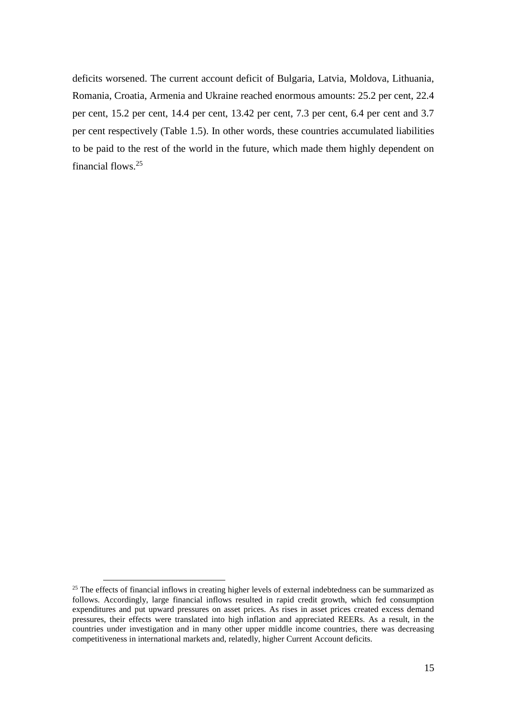deficits worsened. The current account deficit of Bulgaria, Latvia, Moldova, Lithuania, Romania, Croatia, Armenia and Ukraine reached enormous amounts: 25.2 per cent, 22.4 per cent, 15.2 per cent, 14.4 per cent, 13.42 per cent, 7.3 per cent, 6.4 per cent and 3.7 per cent respectively (Table 1.5). In other words, these countries accumulated liabilities to be paid to the rest of the world in the future, which made them highly dependent on financial flows.<sup>25</sup>

<sup>&</sup>lt;sup>25</sup> The effects of financial inflows in creating higher levels of external indebtedness can be summarized as follows. Accordingly, large financial inflows resulted in rapid credit growth, which fed consumption expenditures and put upward pressures on asset prices. As rises in asset prices created excess demand pressures, their effects were translated into high inflation and appreciated REERs. As a result, in the countries under investigation and in many other upper middle income countries, there was decreasing competitiveness in international markets and, relatedly, higher Current Account deficits.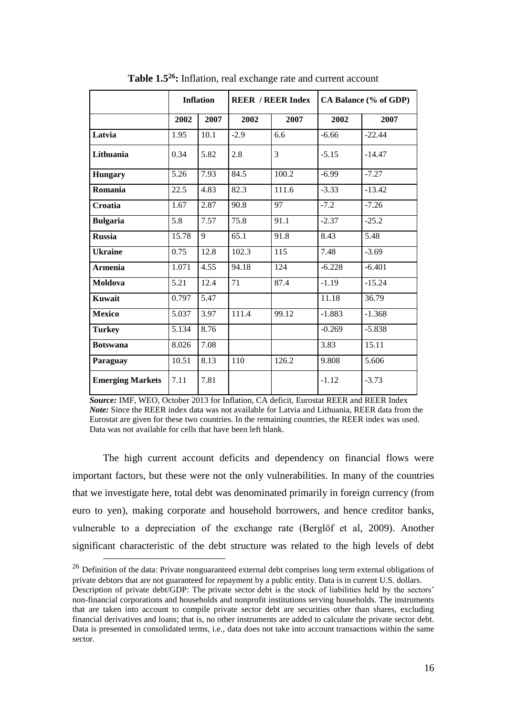|                         |       | <b>Inflation</b><br><b>REER / REER Index</b> |        |                  |          | CA Balance (% of GDP) |
|-------------------------|-------|----------------------------------------------|--------|------------------|----------|-----------------------|
|                         | 2002  | 2007                                         | 2002   | 2007             | 2002     | 2007                  |
| Latvia                  | 1.95  | 10.1                                         | $-2.9$ | 6.6              | $-6.66$  | $-22.44$              |
| Lithuania               | 0.34  | 5.82                                         | 2.8    | 3                | $-5.15$  | $-14.47$              |
| <b>Hungary</b>          | 5.26  | 7.93                                         | 84.5   | 100.2            | $-6.99$  | $-7.27$               |
| Romania                 | 22.5  | 4.83                                         | 82.3   | 111.6            | $-3.33$  | $-13.42$              |
| Croatia                 | 1.67  | 2.87                                         | 90.8   | 97               | $-7.2$   | $-7.26$               |
| <b>Bulgaria</b>         | 5.8   | 7.57                                         | 75.8   | 91.1             | $-2.37$  | $-25.2$               |
| <b>Russia</b>           | 15.78 | 9                                            | 65.1   | 91.8             | 8.43     | 5.48                  |
| <b>Ukraine</b>          | 0.75  | 12.8                                         | 102.3  | $\overline{115}$ | 7.48     | $-3.69$               |
| <b>Armenia</b>          | 1.071 | 4.55                                         | 94.18  | 124              | $-6.228$ | $-6.401$              |
| Moldova                 | 5.21  | 12.4                                         | 71     | 87.4             | $-1.19$  | $-15.24$              |
| Kuwait                  | 0.797 | 5.47                                         |        |                  | 11.18    | 36.79                 |
| <b>Mexico</b>           | 5.037 | 3.97                                         | 111.4  | 99.12            | $-1.883$ | $-1.368$              |
| <b>Turkey</b>           | 5.134 | 8.76                                         |        |                  | $-0.269$ | $-5.838$              |
| <b>Botswana</b>         | 8.026 | 7.08                                         |        |                  | 3.83     | 15.11                 |
| Paraguay                | 10.51 | 8.13                                         | 110    | 126.2            | 9.808    | 5.606                 |
| <b>Emerging Markets</b> | 7.11  | 7.81                                         |        |                  | $-1.12$  | $-3.73$               |

**Table 1.5<sup>26</sup>:** Inflation, real exchange rate and current account

 *Source:* IMF, WEO, October 2013 for Inflation, CA deficit, Eurostat REER and REER Index  *Note:* Since the REER index data was not available for Latvia and Lithuania, REER data from the Eurostat are given for these two countries. In the remaining countries, the REER index was used. Data was not available for cells that have been left blank.

The high current account deficits and dependency on financial flows were important factors, but these were not the only vulnerabilities. In many of the countries that we investigate here, total debt was denominated primarily in foreign currency (from euro to yen), making corporate and household borrowers, and hence creditor banks, vulnerable to a depreciation of the exchange rate (Berglöf et al, 2009). Another significant characteristic of the debt structure was related to the high levels of debt

1

sector.

<sup>&</sup>lt;sup>26</sup> Definition of the data: Private nonguaranteed external debt comprises long term external obligations of private debtors that are not guaranteed for repayment by a public entity. Data is in current U.S. dollars. Description of private debt/GDP: The private sector debt is the stock of liabilities held by the sectors' non-financial corporations and households and nonprofit institutions serving households. The instruments that are taken into account to compile private sector debt are securities other than shares, excluding financial derivatives and loans; that is, no other instruments are added to calculate the private sector debt. Data is presented in consolidated terms, i.e., data does not take into account transactions within the same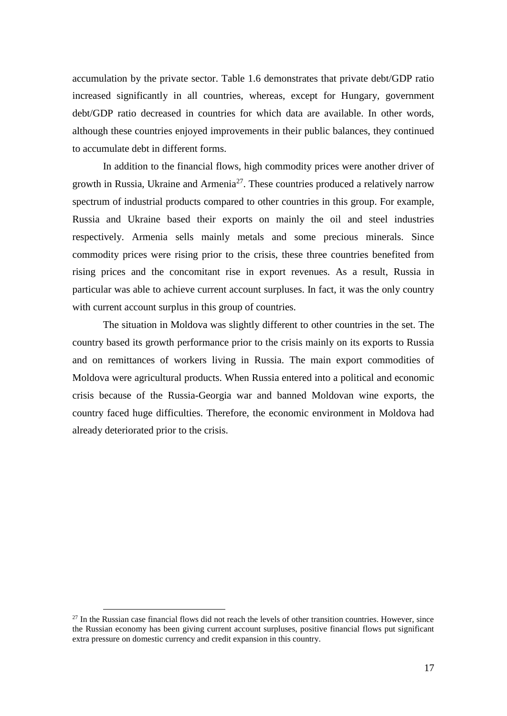accumulation by the private sector. Table 1.6 demonstrates that private debt/GDP ratio increased significantly in all countries, whereas, except for Hungary, government debt/GDP ratio decreased in countries for which data are available. In other words, although these countries enjoyed improvements in their public balances, they continued to accumulate debt in different forms.

In addition to the financial flows, high commodity prices were another driver of growth in Russia, Ukraine and Armenia<sup>27</sup>. These countries produced a relatively narrow spectrum of industrial products compared to other countries in this group. For example, Russia and Ukraine based their exports on mainly the oil and steel industries respectively. Armenia sells mainly metals and some precious minerals. Since commodity prices were rising prior to the crisis, these three countries benefited from rising prices and the concomitant rise in export revenues. As a result, Russia in particular was able to achieve current account surpluses. In fact, it was the only country with current account surplus in this group of countries.

The situation in Moldova was slightly different to other countries in the set. The country based its growth performance prior to the crisis mainly on its exports to Russia and on remittances of workers living in Russia. The main export commodities of Moldova were agricultural products. When Russia entered into a political and economic crisis because of the Russia-Georgia war and banned Moldovan wine exports, the country faced huge difficulties. Therefore, the economic environment in Moldova had already deteriorated prior to the crisis.

 $27$  In the Russian case financial flows did not reach the levels of other transition countries. However, since the Russian economy has been giving current account surpluses, positive financial flows put significant extra pressure on domestic currency and credit expansion in this country.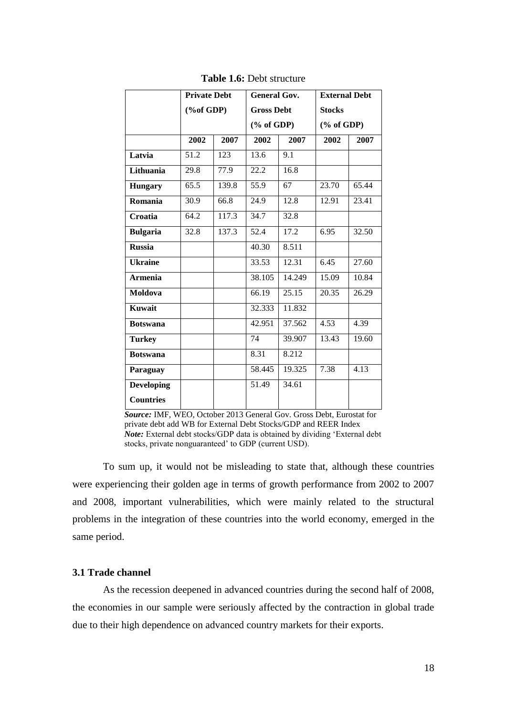|                   | <b>Private Debt</b>        |       | <b>General Gov.</b> |        | <b>External Debt</b> |       |
|-------------------|----------------------------|-------|---------------------|--------|----------------------|-------|
|                   | $(% \mathbf{A})$ (%of GDP) |       | <b>Gross Debt</b>   |        | <b>Stocks</b>        |       |
|                   |                            |       | $(\%$ of GDP)       |        | $(\%$ of GDP)        |       |
|                   | 2002                       | 2007  | 2002                | 2007   | 2002                 | 2007  |
| Latvia            | 51.2                       | 123   | 13.6                | 9.1    |                      |       |
| Lithuania         | 29.8                       | 77.9  | 22.2                | 16.8   |                      |       |
| <b>Hungary</b>    | 65.5                       | 139.8 | 55.9                | 67     | 23.70                | 65.44 |
| Romania           | 30.9                       | 66.8  | 24.9                | 12.8   | 12.91                | 23.41 |
| Croatia           | 64.2                       | 117.3 | 34.7                | 32.8   |                      |       |
| <b>Bulgaria</b>   | 32.8                       | 137.3 | 52.4                | 17.2   | 6.95                 | 32.50 |
| <b>Russia</b>     |                            |       | 40.30               | 8.511  |                      |       |
| <b>Ukraine</b>    |                            |       | 33.53               | 12.31  | 6.45                 | 27.60 |
| <b>Armenia</b>    |                            |       | 38.105              | 14.249 | 15.09                | 10.84 |
| Moldova           |                            |       | 66.19               | 25.15  | 20.35                | 26.29 |
| <b>Kuwait</b>     |                            |       | 32.333              | 11.832 |                      |       |
| <b>Botswana</b>   |                            |       | 42.951              | 37.562 | 4.53                 | 4.39  |
| <b>Turkey</b>     |                            |       | 74                  | 39.907 | 13.43                | 19.60 |
| <b>Botswana</b>   |                            |       | 8.31                | 8.212  |                      |       |
| Paraguay          |                            |       | 58.445              | 19.325 | 7.38                 | 4.13  |
| <b>Developing</b> |                            |       | 51.49               | 34.61  |                      |       |
| <b>Countries</b>  |                            |       |                     |        |                      |       |

**Table 1.6:** Debt structure

 *Source:* IMF, WEO, October 2013 General Gov. Gross Debt, Eurostat for private debt add WB for External Debt Stocks/GDP and REER Index  *Note:* External debt stocks/GDP data is obtained by dividing 'External debt stocks, private nonguaranteed' to GDP (current USD).

To sum up, it would not be misleading to state that, although these countries were experiencing their golden age in terms of growth performance from 2002 to 2007 and 2008, important vulnerabilities, which were mainly related to the structural problems in the integration of these countries into the world economy, emerged in the same period.

# **3.1 Trade channel**

As the recession deepened in advanced countries during the second half of 2008, the economies in our sample were seriously affected by the contraction in global trade due to their high dependence on advanced country markets for their exports.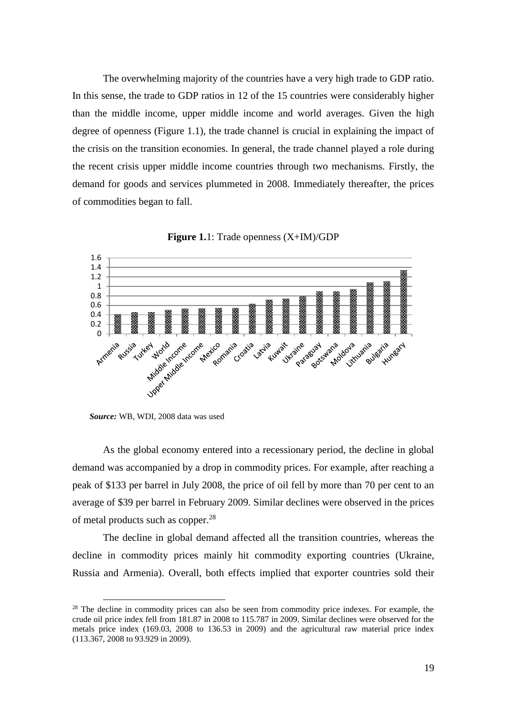The overwhelming majority of the countries have a very high trade to GDP ratio. In this sense, the trade to GDP ratios in 12 of the 15 countries were considerably higher than the middle income, upper middle income and world averages. Given the high degree of openness (Figure 1.1), the trade channel is crucial in explaining the impact of the crisis on the transition economies. In general, the trade channel played a role during the recent crisis upper middle income countries through two mechanisms. Firstly, the demand for goods and services plummeted in 2008. Immediately thereafter, the prices of commodities began to fall.





 *Source:* WB, WDI, 2008 data was used

<u>.</u>

As the global economy entered into a recessionary period, the decline in global demand was accompanied by a drop in commodity prices. For example, after reaching a peak of \$133 per barrel in July 2008, the price of oil fell by more than 70 per cent to an average of \$39 per barrel in February 2009. Similar declines were observed in the prices of metal products such as copper.<sup>28</sup>

The decline in global demand affected all the transition countries, whereas the decline in commodity prices mainly hit commodity exporting countries (Ukraine, Russia and Armenia). Overall, both effects implied that exporter countries sold their

<sup>&</sup>lt;sup>28</sup> The decline in commodity prices can also be seen from commodity price indexes. For example, the crude oil price index fell from 181.87 in 2008 to 115.787 in 2009. Similar declines were observed for the metals price index (169.03, 2008 to 136.53 in 2009) and the agricultural raw material price index (113.367, 2008 to 93.929 in 2009).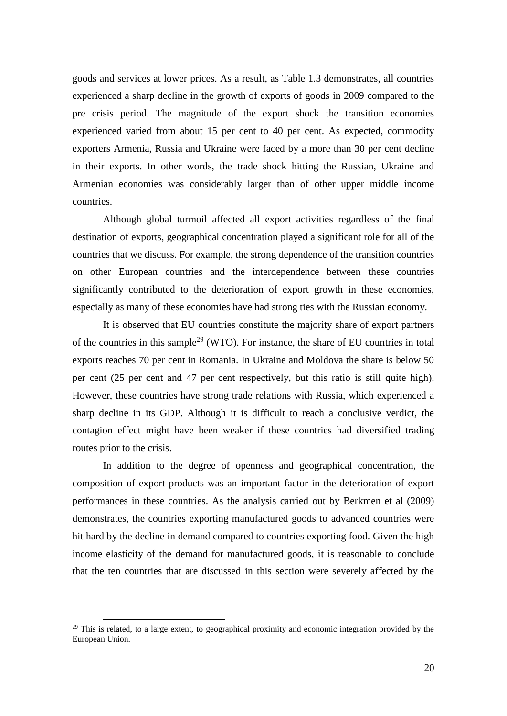goods and services at lower prices. As a result, as Table 1.3 demonstrates, all countries experienced a sharp decline in the growth of exports of goods in 2009 compared to the pre crisis period. The magnitude of the export shock the transition economies experienced varied from about 15 per cent to 40 per cent. As expected, commodity exporters Armenia, Russia and Ukraine were faced by a more than 30 per cent decline in their exports. In other words, the trade shock hitting the Russian, Ukraine and Armenian economies was considerably larger than of other upper middle income countries.

Although global turmoil affected all export activities regardless of the final destination of exports, geographical concentration played a significant role for all of the countries that we discuss. For example, the strong dependence of the transition countries on other European countries and the interdependence between these countries significantly contributed to the deterioration of export growth in these economies, especially as many of these economies have had strong ties with the Russian economy.

It is observed that EU countries constitute the majority share of export partners of the countries in this sample<sup>29</sup> (WTO). For instance, the share of EU countries in total exports reaches 70 per cent in Romania. In Ukraine and Moldova the share is below 50 per cent (25 per cent and 47 per cent respectively, but this ratio is still quite high). However, these countries have strong trade relations with Russia, which experienced a sharp decline in its GDP. Although it is difficult to reach a conclusive verdict, the contagion effect might have been weaker if these countries had diversified trading routes prior to the crisis.

In addition to the degree of openness and geographical concentration, the composition of export products was an important factor in the deterioration of export performances in these countries. As the analysis carried out by Berkmen et al (2009) demonstrates, the countries exporting manufactured goods to advanced countries were hit hard by the decline in demand compared to countries exporting food. Given the high income elasticity of the demand for manufactured goods, it is reasonable to conclude that the ten countries that are discussed in this section were severely affected by the

 $^{29}$  This is related, to a large extent, to geographical proximity and economic integration provided by the European Union.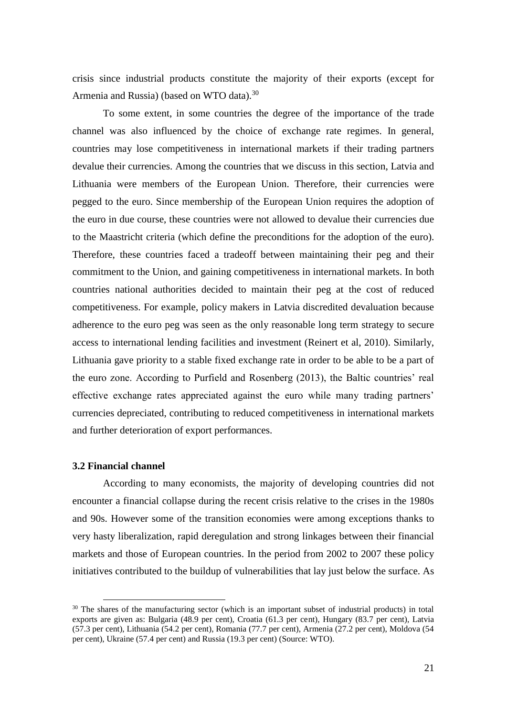crisis since industrial products constitute the majority of their exports (except for Armenia and Russia) (based on WTO data).<sup>30</sup>

To some extent, in some countries the degree of the importance of the trade channel was also influenced by the choice of exchange rate regimes. In general, countries may lose competitiveness in international markets if their trading partners devalue their currencies. Among the countries that we discuss in this section, Latvia and Lithuania were members of the European Union. Therefore, their currencies were pegged to the euro. Since membership of the European Union requires the adoption of the euro in due course, these countries were not allowed to devalue their currencies due to the Maastricht criteria (which define the preconditions for the adoption of the euro). Therefore, these countries faced a tradeoff between maintaining their peg and their commitment to the Union, and gaining competitiveness in international markets. In both countries national authorities decided to maintain their peg at the cost of reduced competitiveness. For example, policy makers in Latvia discredited devaluation because adherence to the euro peg was seen as the only reasonable long term strategy to secure access to international lending facilities and investment (Reinert et al, 2010). Similarly, Lithuania gave priority to a stable fixed exchange rate in order to be able to be a part of the euro zone. According to Purfield and Rosenberg (2013), the Baltic countries' real effective exchange rates appreciated against the euro while many trading partners' currencies depreciated, contributing to reduced competitiveness in international markets and further deterioration of export performances.

#### **3.2 Financial channel**

<u>.</u>

According to many economists, the majority of developing countries did not encounter a financial collapse during the recent crisis relative to the crises in the 1980s and 90s. However some of the transition economies were among exceptions thanks to very hasty liberalization, rapid deregulation and strong linkages between their financial markets and those of European countries. In the period from 2002 to 2007 these policy initiatives contributed to the buildup of vulnerabilities that lay just below the surface. As

 $30$  The shares of the manufacturing sector (which is an important subset of industrial products) in total exports are given as: Bulgaria (48.9 per cent), Croatia (61.3 per cent), Hungary (83.7 per cent), Latvia (57.3 per cent), Lithuania (54.2 per cent), Romania (77.7 per cent), Armenia (27.2 per cent), Moldova (54 per cent), Ukraine (57.4 per cent) and Russia (19.3 per cent) (Source: WTO).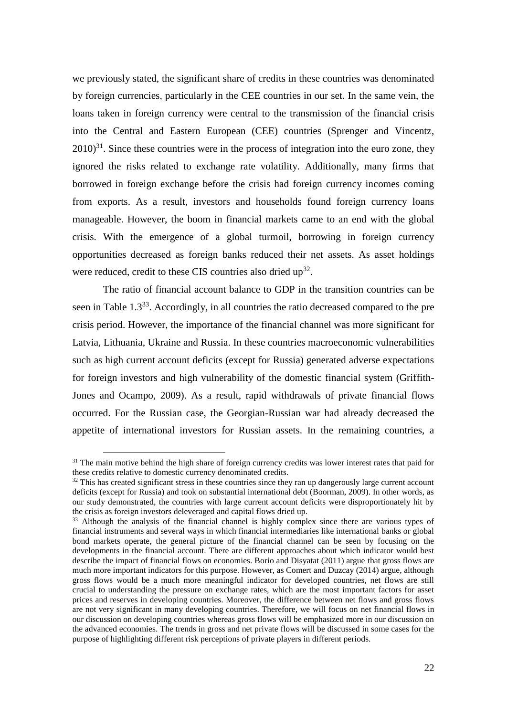we previously stated, the significant share of credits in these countries was denominated by foreign currencies, particularly in the CEE countries in our set. In the same vein, the loans taken in foreign currency were central to the transmission of the financial crisis into the Central and Eastern European (CEE) countries (Sprenger and Vincentz,  $2010$ <sup>31</sup>. Since these countries were in the process of integration into the euro zone, they ignored the risks related to exchange rate volatility. Additionally, many firms that borrowed in foreign exchange before the crisis had foreign currency incomes coming from exports. As a result, investors and households found foreign currency loans manageable. However, the boom in financial markets came to an end with the global crisis. With the emergence of a global turmoil, borrowing in foreign currency opportunities decreased as foreign banks reduced their net assets. As asset holdings were reduced, credit to these CIS countries also dried  $up<sup>32</sup>$ .

The ratio of financial account balance to GDP in the transition countries can be seen in Table 1.3<sup>33</sup>. Accordingly, in all countries the ratio decreased compared to the pre crisis period. However, the importance of the financial channel was more significant for Latvia, Lithuania, Ukraine and Russia. In these countries macroeconomic vulnerabilities such as high current account deficits (except for Russia) generated adverse expectations for foreign investors and high vulnerability of the domestic financial system (Griffith-Jones and Ocampo, 2009). As a result, rapid withdrawals of private financial flows occurred. For the Russian case, the Georgian-Russian war had already decreased the appetite of international investors for Russian assets. In the remaining countries, a

<u>.</u>

<sup>&</sup>lt;sup>31</sup> The main motive behind the high share of foreign currency credits was lower interest rates that paid for these credits relative to domestic currency denominated credits.

<sup>&</sup>lt;sup>32</sup> This has created significant stress in these countries since they ran up dangerously large current account deficits (except for Russia) and took on substantial international debt (Boorman, 2009). In other words, as our study demonstrated, the countries with large current account deficits were disproportionately hit by the crisis as foreign investors deleveraged and capital flows dried up.

<sup>&</sup>lt;sup>33</sup> Although the analysis of the financial channel is highly complex since there are various types of financial instruments and several ways in which financial intermediaries like international banks or global bond markets operate, the general picture of the financial channel can be seen by focusing on the developments in the financial account. There are different approaches about which indicator would best describe the impact of financial flows on economies. Borio and Disyatat (2011) argue that gross flows are much more important indicators for this purpose. However, as Comert and Duzcay (2014) argue, although gross flows would be a much more meaningful indicator for developed countries, net flows are still crucial to understanding the pressure on exchange rates, which are the most important factors for asset prices and reserves in developing countries. Moreover, the difference between net flows and gross flows are not very significant in many developing countries. Therefore, we will focus on net financial flows in our discussion on developing countries whereas gross flows will be emphasized more in our discussion on the advanced economies. The trends in gross and net private flows will be discussed in some cases for the purpose of highlighting different risk perceptions of private players in different periods.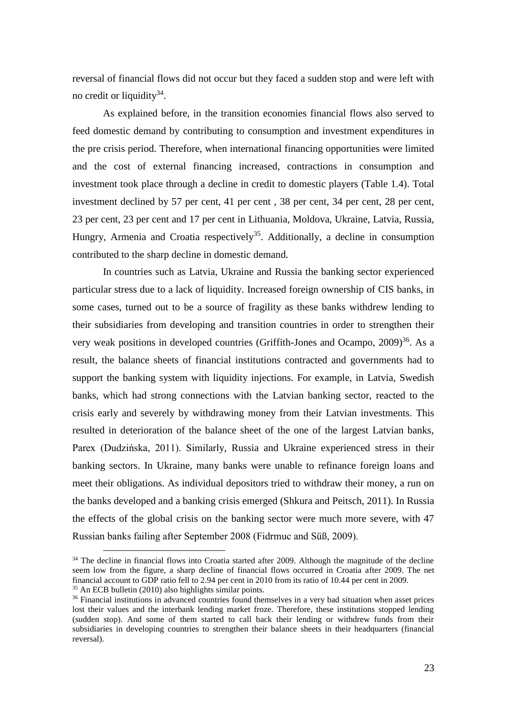reversal of financial flows did not occur but they faced a sudden stop and were left with no credit or liquidity<sup>34</sup>.

As explained before, in the transition economies financial flows also served to feed domestic demand by contributing to consumption and investment expenditures in the pre crisis period. Therefore, when international financing opportunities were limited and the cost of external financing increased, contractions in consumption and investment took place through a decline in credit to domestic players (Table 1.4). Total investment declined by 57 per cent, 41 per cent, 38 per cent, 34 per cent, 28 per cent, 23 per cent, 23 per cent and 17 per cent in Lithuania, Moldova, Ukraine, Latvia, Russia, Hungry, Armenia and Croatia respectively<sup>35</sup>. Additionally, a decline in consumption contributed to the sharp decline in domestic demand.

In countries such as Latvia, Ukraine and Russia the banking sector experienced particular stress due to a lack of liquidity. Increased foreign ownership of CIS banks, in some cases, turned out to be a source of fragility as these banks withdrew lending to their subsidiaries from developing and transition countries in order to strengthen their very weak positions in developed countries (Griffith-Jones and Ocampo,  $2009$ )<sup>36</sup>. As a result, the balance sheets of financial institutions contracted and governments had to support the banking system with liquidity injections. For example, in Latvia, Swedish banks, which had strong connections with the Latvian banking sector, reacted to the crisis early and severely by withdrawing money from their Latvian investments. This resulted in deterioration of the balance sheet of the one of the largest Latvian banks, Parex (Dudzińska, 2011). Similarly, Russia and Ukraine experienced stress in their banking sectors. In Ukraine, many banks were unable to refinance foreign loans and meet their obligations. As individual depositors tried to withdraw their money, a run on the banks developed and a banking crisis emerged (Shkura and Peitsch, 2011). In Russia the effects of the global crisis on the banking sector were much more severe, with 47 Russian banks failing after September 2008 (Fidrmuc and Süß, 2009).

<sup>&</sup>lt;sup>34</sup> The decline in financial flows into Croatia started after 2009. Although the magnitude of the decline seem low from the figure, a sharp decline of financial flows occurred in Croatia after 2009. The net financial account to GDP ratio fell to 2.94 per cent in 2010 from its ratio of 10.44 per cent in 2009. <sup>35</sup> An ECB bulletin (2010) also highlights similar points.

<sup>&</sup>lt;sup>36</sup> Financial institutions in advanced countries found themselves in a very bad situation when asset prices lost their values and the interbank lending market froze. Therefore, these institutions stopped lending (sudden stop). And some of them started to call back their lending or withdrew funds from their subsidiaries in developing countries to strengthen their balance sheets in their headquarters (financial reversal).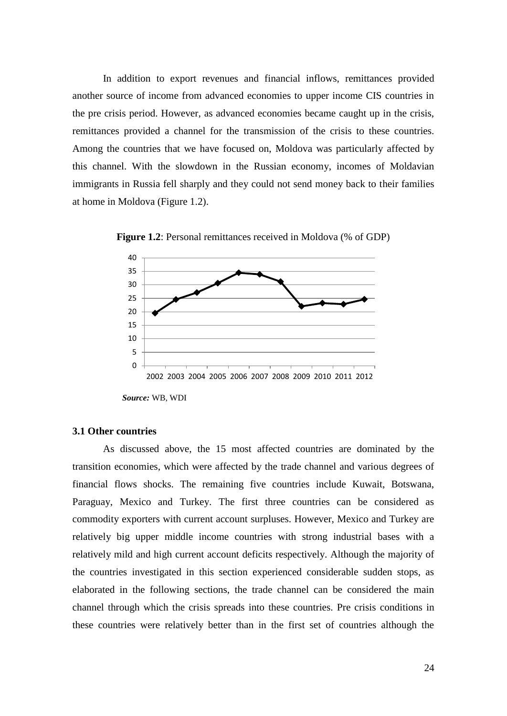In addition to export revenues and financial inflows, remittances provided another source of income from advanced economies to upper income CIS countries in the pre crisis period. However, as advanced economies became caught up in the crisis, remittances provided a channel for the transmission of the crisis to these countries. Among the countries that we have focused on, Moldova was particularly affected by this channel. With the slowdown in the Russian economy, incomes of Moldavian immigrants in Russia fell sharply and they could not send money back to their families at home in Moldova (Figure 1.2).



**Figure 1.2**: Personal remittances received in Moldova (% of GDP)

#### **3.1 Other countries**

As discussed above, the 15 most affected countries are dominated by the transition economies, which were affected by the trade channel and various degrees of financial flows shocks. The remaining five countries include Kuwait, Botswana, Paraguay, Mexico and Turkey. The first three countries can be considered as commodity exporters with current account surpluses. However, Mexico and Turkey are relatively big upper middle income countries with strong industrial bases with a relatively mild and high current account deficits respectively. Although the majority of the countries investigated in this section experienced considerable sudden stops, as elaborated in the following sections, the trade channel can be considered the main channel through which the crisis spreads into these countries. Pre crisis conditions in these countries were relatively better than in the first set of countries although the

*Source:* WB, WDI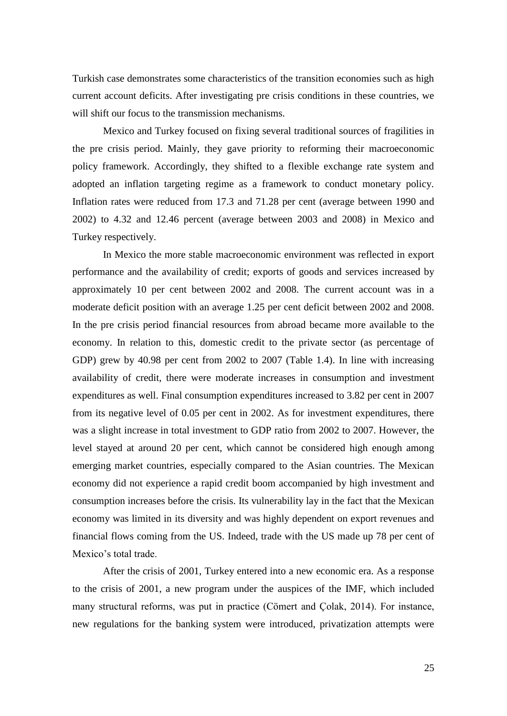Turkish case demonstrates some characteristics of the transition economies such as high current account deficits. After investigating pre crisis conditions in these countries, we will shift our focus to the transmission mechanisms.

Mexico and Turkey focused on fixing several traditional sources of fragilities in the pre crisis period. Mainly, they gave priority to reforming their macroeconomic policy framework. Accordingly, they shifted to a flexible exchange rate system and adopted an inflation targeting regime as a framework to conduct monetary policy. Inflation rates were reduced from 17.3 and 71.28 per cent (average between 1990 and 2002) to 4.32 and 12.46 percent (average between 2003 and 2008) in Mexico and Turkey respectively.

In Mexico the more stable macroeconomic environment was reflected in export performance and the availability of credit; exports of goods and services increased by approximately 10 per cent between 2002 and 2008. The current account was in a moderate deficit position with an average 1.25 per cent deficit between 2002 and 2008. In the pre crisis period financial resources from abroad became more available to the economy. In relation to this, domestic credit to the private sector (as percentage of GDP) grew by 40.98 per cent from 2002 to 2007 (Table 1.4). In line with increasing availability of credit, there were moderate increases in consumption and investment expenditures as well. Final consumption expenditures increased to 3.82 per cent in 2007 from its negative level of 0.05 per cent in 2002. As for investment expenditures, there was a slight increase in total investment to GDP ratio from 2002 to 2007. However, the level stayed at around 20 per cent, which cannot be considered high enough among emerging market countries, especially compared to the Asian countries. The Mexican economy did not experience a rapid credit boom accompanied by high investment and consumption increases before the crisis. Its vulnerability lay in the fact that the Mexican economy was limited in its diversity and was highly dependent on export revenues and financial flows coming from the US. Indeed, trade with the US made up 78 per cent of Mexico's total trade.

After the crisis of 2001, Turkey entered into a new economic era. As a response to the crisis of 2001, a new program under the auspices of the IMF, which included many structural reforms, was put in practice (Cömert and Çolak, 2014). For instance, new regulations for the banking system were introduced, privatization attempts were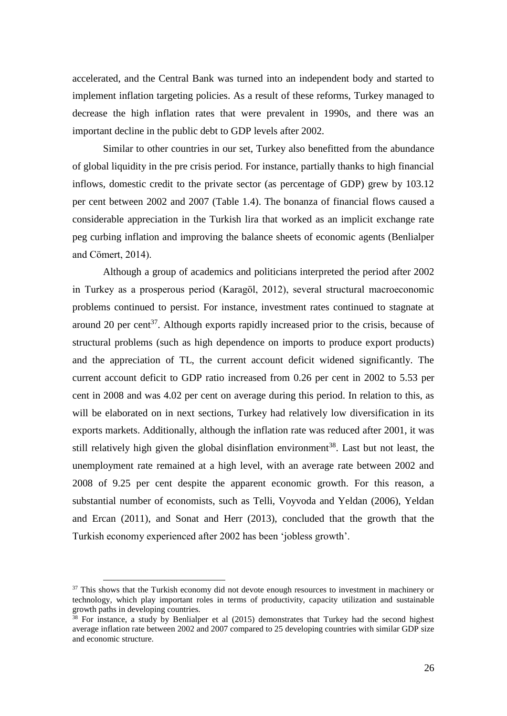accelerated, and the Central Bank was turned into an independent body and started to implement inflation targeting policies. As a result of these reforms, Turkey managed to decrease the high inflation rates that were prevalent in 1990s, and there was an important decline in the public debt to GDP levels after 2002.

Similar to other countries in our set, Turkey also benefitted from the abundance of global liquidity in the pre crisis period. For instance, partially thanks to high financial inflows, domestic credit to the private sector (as percentage of GDP) grew by 103.12 per cent between 2002 and 2007 (Table 1.4). The bonanza of financial flows caused a considerable appreciation in the Turkish lira that worked as an implicit exchange rate peg curbing inflation and improving the balance sheets of economic agents (Benlialper and Cömert, 2014).

Although a group of academics and politicians interpreted the period after 2002 in Turkey as a prosperous period (Karagöl, 2012), several structural macroeconomic problems continued to persist. For instance, investment rates continued to stagnate at around 20 per cent<sup>37</sup>. Although exports rapidly increased prior to the crisis, because of structural problems (such as high dependence on imports to produce export products) and the appreciation of TL, the current account deficit widened significantly. The current account deficit to GDP ratio increased from 0.26 per cent in 2002 to 5.53 per cent in 2008 and was 4.02 per cent on average during this period. In relation to this, as will be elaborated on in next sections, Turkey had relatively low diversification in its exports markets. Additionally, although the inflation rate was reduced after 2001, it was still relatively high given the global disinflation environment<sup>38</sup>. Last but not least, the unemployment rate remained at a high level, with an average rate between 2002 and 2008 of 9.25 per cent despite the apparent economic growth. For this reason, a substantial number of economists, such as Telli, Voyvoda and Yeldan (2006), Yeldan and Ercan (2011), and Sonat and Herr (2013), concluded that the growth that the Turkish economy experienced after 2002 has been 'jobless growth'.

<sup>&</sup>lt;sup>37</sup> This shows that the Turkish economy did not devote enough resources to investment in machinery or technology, which play important roles in terms of productivity, capacity utilization and sustainable growth paths in developing countries.

 $\frac{38}{38}$  For instance, a study by Benlialper et al (2015) demonstrates that Turkey had the second highest average inflation rate between 2002 and 2007 compared to 25 developing countries with similar GDP size and economic structure.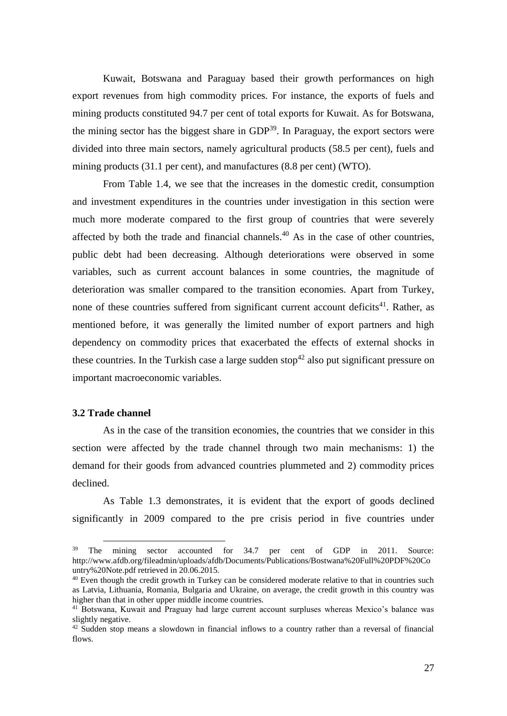Kuwait, Botswana and Paraguay based their growth performances on high export revenues from high commodity prices. For instance, the exports of fuels and mining products constituted 94.7 per cent of total exports for Kuwait. As for Botswana, the mining sector has the biggest share in  $GDP<sup>39</sup>$ . In Paraguay, the export sectors were divided into three main sectors, namely agricultural products (58.5 per cent), fuels and mining products (31.1 per cent), and manufactures (8.8 per cent) (WTO).

From Table 1.4, we see that the increases in the domestic credit, consumption and investment expenditures in the countries under investigation in this section were much more moderate compared to the first group of countries that were severely affected by both the trade and financial channels.<sup>40</sup> As in the case of other countries, public debt had been decreasing. Although deteriorations were observed in some variables, such as current account balances in some countries, the magnitude of deterioration was smaller compared to the transition economies. Apart from Turkey, none of these countries suffered from significant current account deficits<sup>41</sup>. Rather, as mentioned before, it was generally the limited number of export partners and high dependency on commodity prices that exacerbated the effects of external shocks in these countries. In the Turkish case a large sudden stop<sup>42</sup> also put significant pressure on important macroeconomic variables.

### **3.2 Trade channel**

<u>.</u>

As in the case of the transition economies, the countries that we consider in this section were affected by the trade channel through two main mechanisms: 1) the demand for their goods from advanced countries plummeted and 2) commodity prices declined.

As Table 1.3 demonstrates, it is evident that the export of goods declined significantly in 2009 compared to the pre crisis period in five countries under

<sup>&</sup>lt;sup>39</sup> The mining sector accounted for 34.7 per cent of GDP in 2011. Source: http://www.afdb.org/fileadmin/uploads/afdb/Documents/Publications/Bostwana%20Full%20PDF%20Co untry%20Note.pdf retrieved in 20.06.2015.

<sup>&</sup>lt;sup>40</sup> Even though the credit growth in Turkey can be considered moderate relative to that in countries such as Latvia, Lithuania, Romania, Bulgaria and Ukraine, on average, the credit growth in this country was higher than that in other upper middle income countries.

<sup>&</sup>lt;sup>41</sup> Botswana, Kuwait and Praguay had large current account surpluses whereas Mexico's balance was slightly negative.

<sup>&</sup>lt;sup>42</sup> Sudden stop means a slowdown in financial inflows to a country rather than a reversal of financial flows.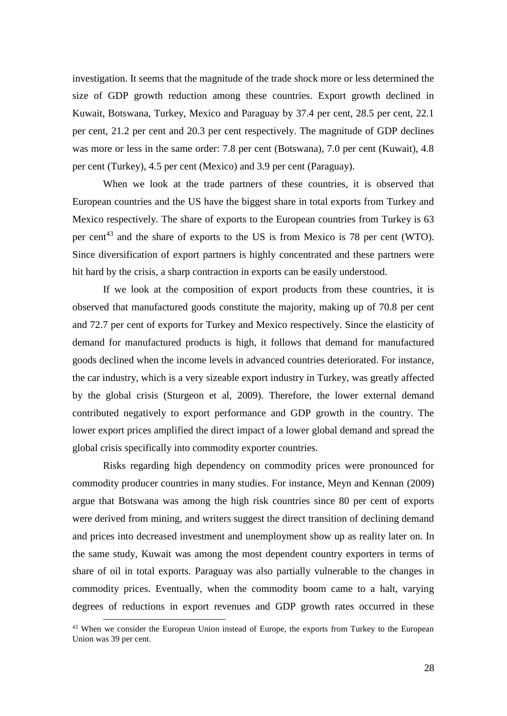investigation. It seems that the magnitude of the trade shock more or less determined the size of GDP growth reduction among these countries. Export growth declined in Kuwait, Botswana, Turkey, Mexico and Paraguay by 37.4 per cent, 28.5 per cent, 22.1 per cent, 21.2 per cent and 20.3 per cent respectively. The magnitude of GDP declines was more or less in the same order: 7.8 per cent (Botswana), 7.0 per cent (Kuwait), 4.8 per cent (Turkey), 4.5 per cent (Mexico) and 3.9 per cent (Paraguay).

When we look at the trade partners of these countries, it is observed that European countries and the US have the biggest share in total exports from Turkey and Mexico respectively. The share of exports to the European countries from Turkey is 63 per cent<sup>43</sup> and the share of exports to the US is from Mexico is 78 per cent (WTO). Since diversification of export partners is highly concentrated and these partners were hit hard by the crisis, a sharp contraction in exports can be easily understood.

If we look at the composition of export products from these countries, it is observed that manufactured goods constitute the majority, making up of 70.8 per cent and 72.7 per cent of exports for Turkey and Mexico respectively. Since the elasticity of demand for manufactured products is high, it follows that demand for manufactured goods declined when the income levels in advanced countries deteriorated. For instance, the car industry, which is a very sizeable export industry in Turkey, was greatly affected by the global crisis (Sturgeon et al, 2009). Therefore, the lower external demand contributed negatively to export performance and GDP growth in the country. The lower export prices amplified the direct impact of a lower global demand and spread the global crisis specifically into commodity exporter countries.

Risks regarding high dependency on commodity prices were pronounced for commodity producer countries in many studies. For instance, Meyn and Kennan (2009) argue that Botswana was among the high risk countries since 80 per cent of exports were derived from mining, and writers suggest the direct transition of declining demand and prices into decreased investment and unemployment show up as reality later on. In the same study, Kuwait was among the most dependent country exporters in terms of share of oil in total exports. Paraguay was also partially vulnerable to the changes in commodity prices. Eventually, when the commodity boom came to a halt, varying degrees of reductions in export revenues and GDP growth rates occurred in these

<sup>&</sup>lt;sup>43</sup> When we consider the European Union instead of Europe, the exports from Turkey to the European Union was 39 per cent.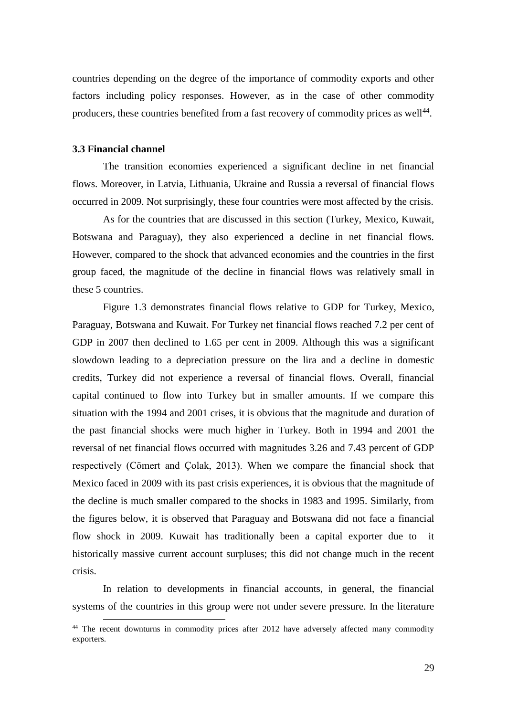countries depending on the degree of the importance of commodity exports and other factors including policy responses. However, as in the case of other commodity producers, these countries benefited from a fast recovery of commodity prices as well<sup>44</sup>.

#### **3.3 Financial channel**

1

The transition economies experienced a significant decline in net financial flows. Moreover, in Latvia, Lithuania, Ukraine and Russia a reversal of financial flows occurred in 2009. Not surprisingly, these four countries were most affected by the crisis.

As for the countries that are discussed in this section (Turkey, Mexico, Kuwait, Botswana and Paraguay), they also experienced a decline in net financial flows. However, compared to the shock that advanced economies and the countries in the first group faced, the magnitude of the decline in financial flows was relatively small in these 5 countries.

Figure 1.3 demonstrates financial flows relative to GDP for Turkey, Mexico, Paraguay, Botswana and Kuwait. For Turkey net financial flows reached 7.2 per cent of GDP in 2007 then declined to 1.65 per cent in 2009. Although this was a significant slowdown leading to a depreciation pressure on the lira and a decline in domestic credits, Turkey did not experience a reversal of financial flows. Overall, financial capital continued to flow into Turkey but in smaller amounts. If we compare this situation with the 1994 and 2001 crises, it is obvious that the magnitude and duration of the past financial shocks were much higher in Turkey. Both in 1994 and 2001 the reversal of net financial flows occurred with magnitudes 3.26 and 7.43 percent of GDP respectively (Cömert and Çolak, 2013). When we compare the financial shock that Mexico faced in 2009 with its past crisis experiences, it is obvious that the magnitude of the decline is much smaller compared to the shocks in 1983 and 1995. Similarly, from the figures below, it is observed that Paraguay and Botswana did not face a financial flow shock in 2009. Kuwait has traditionally been a capital exporter due to it historically massive current account surpluses; this did not change much in the recent crisis.

In relation to developments in financial accounts, in general, the financial systems of the countries in this group were not under severe pressure. In the literature

<sup>&</sup>lt;sup>44</sup> The recent downturns in commodity prices after 2012 have adversely affected many commodity exporters.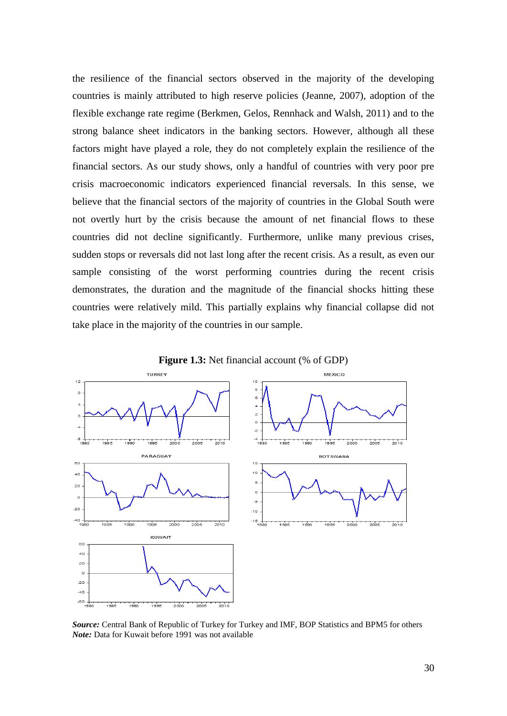the resilience of the financial sectors observed in the majority of the developing countries is mainly attributed to high reserve policies (Jeanne, 2007), adoption of the flexible exchange rate regime (Berkmen, Gelos, Rennhack and Walsh, 2011) and to the strong balance sheet indicators in the banking sectors. However, although all these factors might have played a role, they do not completely explain the resilience of the financial sectors. As our study shows, only a handful of countries with very poor pre crisis macroeconomic indicators experienced financial reversals. In this sense, we believe that the financial sectors of the majority of countries in the Global South were not overtly hurt by the crisis because the amount of net financial flows to these countries did not decline significantly. Furthermore, unlike many previous crises, sudden stops or reversals did not last long after the recent crisis. As a result, as even our sample consisting of the worst performing countries during the recent crisis demonstrates, the duration and the magnitude of the financial shocks hitting these countries were relatively mild. This partially explains why financial collapse did not take place in the majority of the countries in our sample.





*Source:* Central Bank of Republic of Turkey for Turkey and IMF, BOP Statistics and BPM5 for others *Note:* Data for Kuwait before 1991 was not available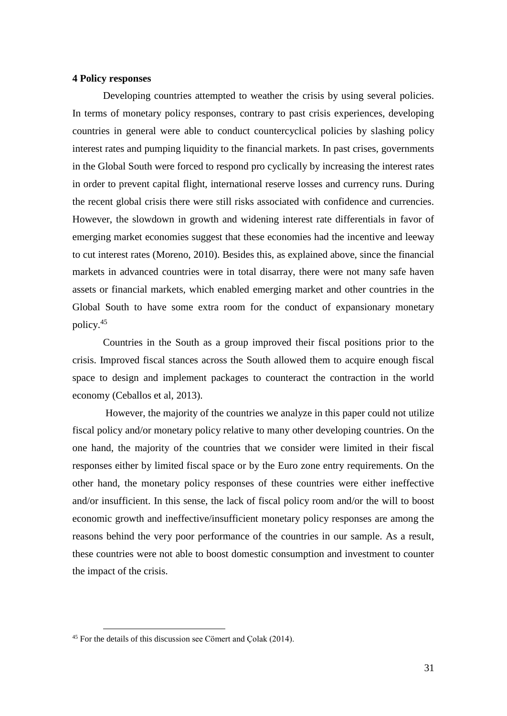#### **4 Policy responses**

Developing countries attempted to weather the crisis by using several policies. In terms of monetary policy responses, contrary to past crisis experiences, developing countries in general were able to conduct countercyclical policies by slashing policy interest rates and pumping liquidity to the financial markets. In past crises, governments in the Global South were forced to respond pro cyclically by increasing the interest rates in order to prevent capital flight, international reserve losses and currency runs. During the recent global crisis there were still risks associated with confidence and currencies. However, the slowdown in growth and widening interest rate differentials in favor of emerging market economies suggest that these economies had the incentive and leeway to cut interest rates (Moreno, 2010). Besides this, as explained above, since the financial markets in advanced countries were in total disarray, there were not many safe haven assets or financial markets, which enabled emerging market and other countries in the Global South to have some extra room for the conduct of expansionary monetary policy.<sup>45</sup>

Countries in the South as a group improved their fiscal positions prior to the crisis. Improved fiscal stances across the South allowed them to acquire enough fiscal space to design and implement packages to counteract the contraction in the world economy (Ceballos et al, 2013).

However, the majority of the countries we analyze in this paper could not utilize fiscal policy and/or monetary policy relative to many other developing countries. On the one hand, the majority of the countries that we consider were limited in their fiscal responses either by limited fiscal space or by the Euro zone entry requirements. On the other hand, the monetary policy responses of these countries were either ineffective and/or insufficient. In this sense, the lack of fiscal policy room and/or the will to boost economic growth and ineffective/insufficient monetary policy responses are among the reasons behind the very poor performance of the countries in our sample. As a result, these countries were not able to boost domestic consumption and investment to counter the impact of the crisis.

<u>.</u>

<sup>45</sup> For the details of this discussion see Cömert and Çolak (2014).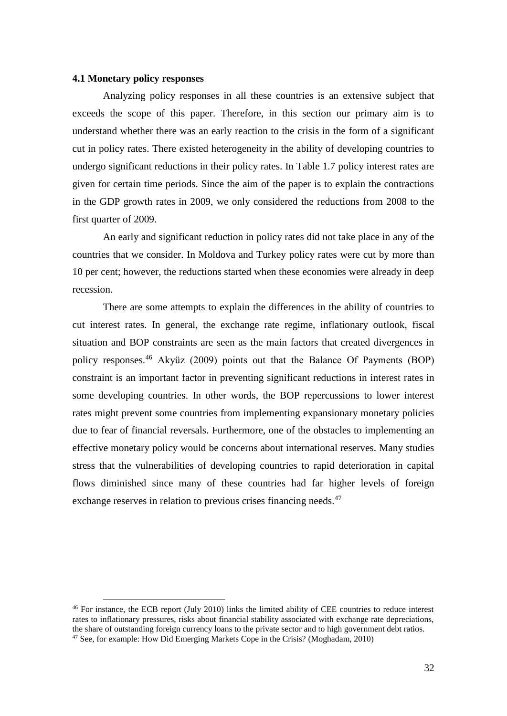#### **4.1 Monetary policy responses**

<u>.</u>

Analyzing policy responses in all these countries is an extensive subject that exceeds the scope of this paper. Therefore, in this section our primary aim is to understand whether there was an early reaction to the crisis in the form of a significant cut in policy rates. There existed heterogeneity in the ability of developing countries to undergo significant reductions in their policy rates. In Table 1.7 policy interest rates are given for certain time periods. Since the aim of the paper is to explain the contractions in the GDP growth rates in 2009, we only considered the reductions from 2008 to the first quarter of 2009.

An early and significant reduction in policy rates did not take place in any of the countries that we consider. In Moldova and Turkey policy rates were cut by more than 10 per cent; however, the reductions started when these economies were already in deep recession.

There are some attempts to explain the differences in the ability of countries to cut interest rates. In general, the exchange rate regime, inflationary outlook, fiscal situation and BOP constraints are seen as the main factors that created divergences in policy responses.<sup>46</sup> Akyüz (2009) points out that the Balance Of Payments (BOP) constraint is an important factor in preventing significant reductions in interest rates in some developing countries. In other words, the BOP repercussions to lower interest rates might prevent some countries from implementing expansionary monetary policies due to fear of financial reversals. Furthermore, one of the obstacles to implementing an effective monetary policy would be concerns about international reserves. Many studies stress that the vulnerabilities of developing countries to rapid deterioration in capital flows diminished since many of these countries had far higher levels of foreign exchange reserves in relation to previous crises financing needs.<sup>47</sup>

<sup>46</sup> For instance, the ECB report (July 2010) links the limited ability of CEE countries to reduce interest rates to inflationary pressures, risks about financial stability associated with exchange rate depreciations, the share of outstanding foreign currency loans to the private sector and to high government debt ratios. <sup>47</sup> See, for example: How Did Emerging Markets Cope in the Crisis? (Moghadam, 2010)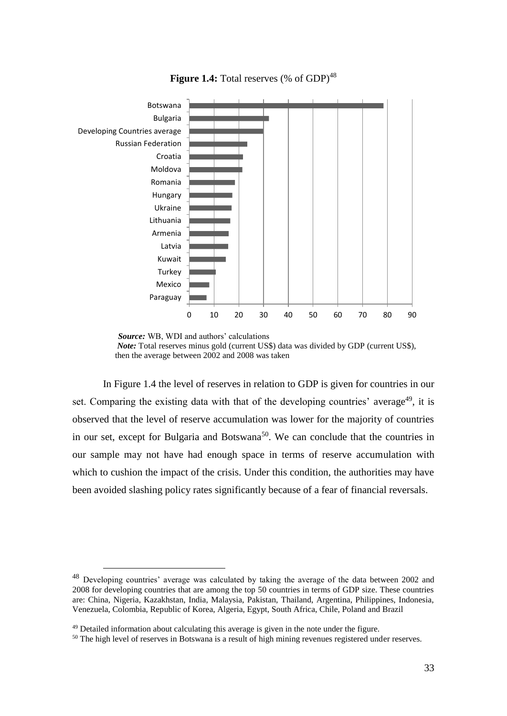

**Figure 1.4:** Total reserves (% of GDP)<sup>48</sup>

In Figure 1.4 the level of reserves in relation to GDP is given for countries in our set. Comparing the existing data with that of the developing countries' average<sup>49</sup>, it is observed that the level of reserve accumulation was lower for the majority of countries in our set, except for Bulgaria and Botswana<sup>50</sup>. We can conclude that the countries in our sample may not have had enough space in terms of reserve accumulation with which to cushion the impact of the crisis. Under this condition, the authorities may have been avoided slashing policy rates significantly because of a fear of financial reversals.

*Source:* WB, WDI and authors' calculations *Note:* Total reserves minus gold (current US\$) data was divided by GDP (current US\$), then the average between 2002 and 2008 was taken

<sup>48</sup> Developing countries' average was calculated by taking the average of the data between 2002 and 2008 for developing countries that are among the top 50 countries in terms of GDP size. These countries are: China, Nigeria, Kazakhstan, India, Malaysia, Pakistan, Thailand, Argentina, Philippines, Indonesia, Venezuela, Colombia, Republic of Korea, Algeria, Egypt, South Africa, Chile, Poland and Brazil

<sup>&</sup>lt;sup>49</sup> Detailed information about calculating this average is given in the note under the figure.

<sup>&</sup>lt;sup>50</sup> The high level of reserves in Botswana is a result of high mining revenues registered under reserves.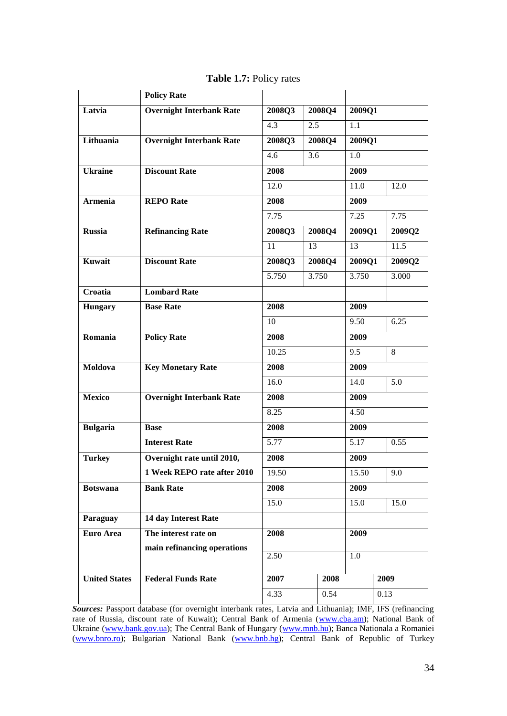|                      | <b>Policy Rate</b>              |        |        |      |                     |      |        |
|----------------------|---------------------------------|--------|--------|------|---------------------|------|--------|
| Latvia               | <b>Overnight Interbank Rate</b> | 2008Q3 | 2008Q4 |      | $200\overline{901}$ |      |        |
|                      |                                 | 4.3    | 2.5    |      | 1.1                 |      |        |
| Lithuania            | <b>Overnight Interbank Rate</b> | 2008Q3 | 2008Q4 |      | 2009Q1              |      |        |
|                      |                                 | 4.6    | 3.6    |      | 1.0                 |      |        |
| <b>Ukraine</b>       | <b>Discount Rate</b>            | 2008   |        |      | 2009                |      |        |
|                      |                                 | 12.0   |        |      | 11.0                |      | 12.0   |
| <b>Armenia</b>       | <b>REPO</b> Rate                | 2008   |        | 2009 |                     |      |        |
|                      |                                 | 7.75   |        | 7.25 |                     | 7.75 |        |
| <b>Russia</b>        | <b>Refinancing Rate</b>         | 2008Q3 | 2008Q4 |      | 2009Q1              |      | 2009Q2 |
|                      |                                 | 11     | 13     |      | 13                  |      | 11.5   |
| Kuwait               | <b>Discount Rate</b>            | 2008Q3 | 2008Q4 |      | 2009Q1              |      | 2009Q2 |
|                      |                                 | 5.750  | 3.750  |      | 3.750               |      | 3.000  |
| Croatia              | <b>Lombard Rate</b>             |        |        |      |                     |      |        |
| <b>Hungary</b>       | <b>Base Rate</b>                | 2008   |        | 2009 |                     |      |        |
|                      |                                 | 10     |        |      | 9.50                |      | 6.25   |
| Romania              | <b>Policy Rate</b>              | 2008   |        | 2009 |                     |      |        |
|                      |                                 | 10.25  |        |      | 9.5                 |      | 8      |
| Moldova              | <b>Key Monetary Rate</b>        | 2008   |        |      | 2009                |      |        |
|                      |                                 | 16.0   |        |      | 14.0                |      | 5.0    |
| <b>Mexico</b>        | <b>Overnight Interbank Rate</b> | 2008   |        |      | 2009                |      |        |
|                      |                                 | 8.25   |        |      | 4.50                |      |        |
| <b>Bulgaria</b>      | <b>Base</b>                     | 2008   |        |      | 2009                |      |        |
|                      | <b>Interest Rate</b>            | 5.77   |        |      | 5.17                |      | 0.55   |
| <b>Turkey</b>        | Overnight rate until 2010,      | 2008   |        |      | 2009                |      |        |
|                      | 1 Week REPO rate after 2010     | 19.50  |        |      | 15.50               |      | 9.0    |
| <b>Botswana</b>      | <b>Bank Rate</b>                | 2008   |        |      | 2009                |      |        |
|                      |                                 | 15.0   |        |      | 15.0                |      | 15.0   |
| Paraguay             | 14 day Interest Rate            |        |        |      |                     |      |        |
| Euro Area            | The interest rate on            | 2008   |        | 2009 |                     |      |        |
|                      | main refinancing operations     | 2.50   |        |      | $1.0\,$             |      |        |
|                      |                                 |        |        |      |                     |      |        |
| <b>United States</b> | <b>Federal Funds Rate</b>       | 2007   |        | 2008 |                     | 2009 |        |
|                      |                                 | 4.33   |        | 0.54 |                     | 0.13 |        |

**Table 1.7:** Policy rates

*Sources:* Passport database (for overnight interbank rates, Latvia and Lithuania); IMF, IFS (refinancing rate of Russia, discount rate of Kuwait); Central Bank of Armenia [\(www.cba.am\)](http://www.cba.am/); National Bank of Ukraine [\(www.bank.gov.ua\)](http://www.bank.gov.ua/); The Central Bank of Hungary [\(www.mnb.hu\)](http://www.mnb.hu/); Banca Nationala a Romaniei [\(www.bnro.ro\)](http://www.bnro.ro/); Bulgarian National Bank [\(www.bnb.hg\)](http://www.bnb.hg/); Central Bank of Republic of Turkey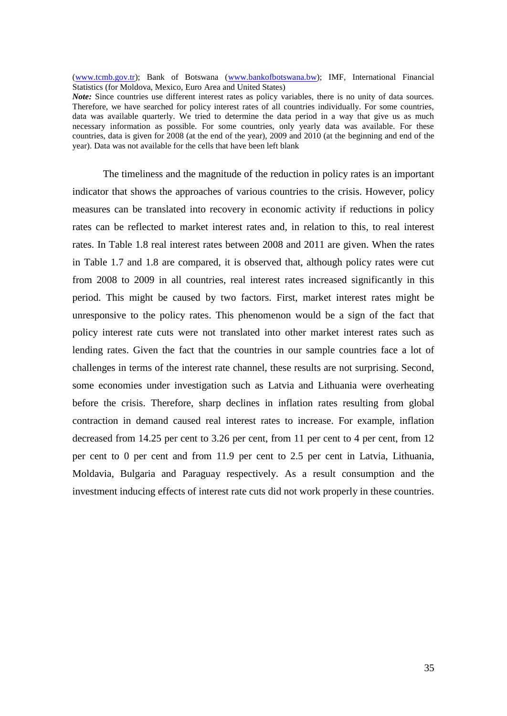[\(www.tcmb.gov.tr\)](http://www.tcmb.gov.tr/); Bank of Botswana [\(www.bankofbotswana.bw\)](http://www.bankofbotswana.bw/); IMF, International Financial Statistics (for Moldova, Mexico, Euro Area and United States)

*Note:* Since countries use different interest rates as policy variables, there is no unity of data sources. Therefore, we have searched for policy interest rates of all countries individually. For some countries, data was available quarterly. We tried to determine the data period in a way that give us as much necessary information as possible. For some countries, only yearly data was available. For these countries, data is given for 2008 (at the end of the year), 2009 and 2010 (at the beginning and end of the year). Data was not available for the cells that have been left blank

The timeliness and the magnitude of the reduction in policy rates is an important indicator that shows the approaches of various countries to the crisis. However, policy measures can be translated into recovery in economic activity if reductions in policy rates can be reflected to market interest rates and, in relation to this, to real interest rates. In Table 1.8 real interest rates between 2008 and 2011 are given. When the rates in Table 1.7 and 1.8 are compared, it is observed that, although policy rates were cut from 2008 to 2009 in all countries, real interest rates increased significantly in this period. This might be caused by two factors. First, market interest rates might be unresponsive to the policy rates. This phenomenon would be a sign of the fact that policy interest rate cuts were not translated into other market interest rates such as lending rates. Given the fact that the countries in our sample countries face a lot of challenges in terms of the interest rate channel, these results are not surprising. Second, some economies under investigation such as Latvia and Lithuania were overheating before the crisis. Therefore, sharp declines in inflation rates resulting from global contraction in demand caused real interest rates to increase. For example, inflation decreased from 14.25 per cent to 3.26 per cent, from 11 per cent to 4 per cent, from 12 per cent to 0 per cent and from 11.9 per cent to 2.5 per cent in Latvia, Lithuania, Moldavia, Bulgaria and Paraguay respectively. As a result consumption and the investment inducing effects of interest rate cuts did not work properly in these countries.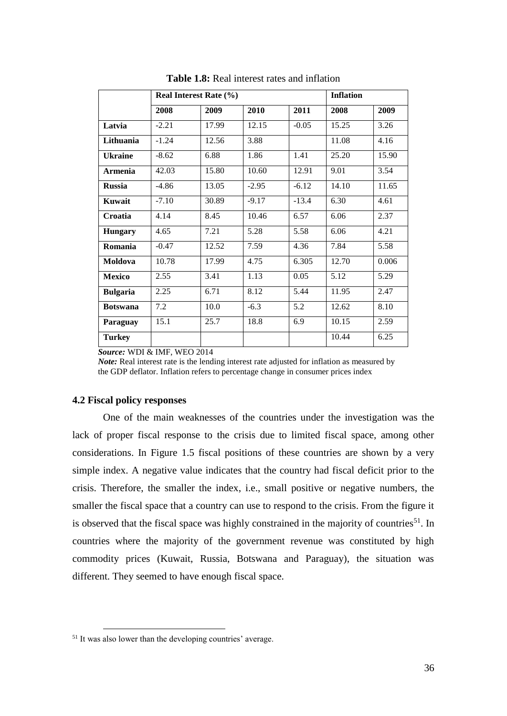|                 |         | Real Interest Rate (%) | <b>Inflation</b> |         |       |       |
|-----------------|---------|------------------------|------------------|---------|-------|-------|
|                 | 2008    | 2009                   | 2010             | 2011    | 2008  | 2009  |
| Latvia          | $-2.21$ | 17.99                  | 12.15            | $-0.05$ | 15.25 | 3.26  |
| Lithuania       | $-1.24$ | 12.56                  | 3.88             |         | 11.08 | 4.16  |
| <b>Ukraine</b>  | $-8.62$ | 6.88                   | 1.86             | 1.41    | 25.20 | 15.90 |
| <b>Armenia</b>  | 42.03   | 15.80                  | 10.60            | 12.91   | 9.01  | 3.54  |
| <b>Russia</b>   | $-4.86$ | 13.05                  | $-2.95$          | $-6.12$ | 14.10 | 11.65 |
| Kuwait          | $-7.10$ | 30.89                  | $-9.17$          | $-13.4$ | 6.30  | 4.61  |
| Croatia         | 4.14    | 8.45                   | 10.46            | 6.57    | 6.06  | 2.37  |
| <b>Hungary</b>  | 4.65    | 7.21                   | 5.28             | 5.58    | 6.06  | 4.21  |
| Romania         | $-0.47$ | 12.52                  | 7.59             | 4.36    | 7.84  | 5.58  |
| Moldova         | 10.78   | 17.99                  | 4.75             | 6.305   | 12.70 | 0.006 |
| <b>Mexico</b>   | 2.55    | 3.41                   | 1.13             | 0.05    | 5.12  | 5.29  |
| <b>Bulgaria</b> | 2.25    | 6.71                   | 8.12             | 5.44    | 11.95 | 2.47  |
| <b>Botswana</b> | 7.2     | 10.0                   | $-6.3$           | 5.2     | 12.62 | 8.10  |
| Paraguay        | 15.1    | 25.7                   | 18.8             | 6.9     | 10.15 | 2.59  |
| <b>Turkey</b>   |         |                        |                  |         | 10.44 | 6.25  |

**Table 1.8:** Real interest rates and inflation

 *Source:* WDI & IMF, WEO 2014

 *Note:* Real interest rate is the lending interest rate adjusted for inflation as measured by the GDP deflator. Inflation refers to percentage change in consumer prices index

#### **4.2 Fiscal policy responses**

<u>.</u>

One of the main weaknesses of the countries under the investigation was the lack of proper fiscal response to the crisis due to limited fiscal space, among other considerations. In Figure 1.5 fiscal positions of these countries are shown by a very simple index. A negative value indicates that the country had fiscal deficit prior to the crisis. Therefore, the smaller the index, i.e., small positive or negative numbers, the smaller the fiscal space that a country can use to respond to the crisis. From the figure it is observed that the fiscal space was highly constrained in the majority of countries<sup>51</sup>. In countries where the majority of the government revenue was constituted by high commodity prices (Kuwait, Russia, Botswana and Paraguay), the situation was different. They seemed to have enough fiscal space.

<sup>&</sup>lt;sup>51</sup> It was also lower than the developing countries' average.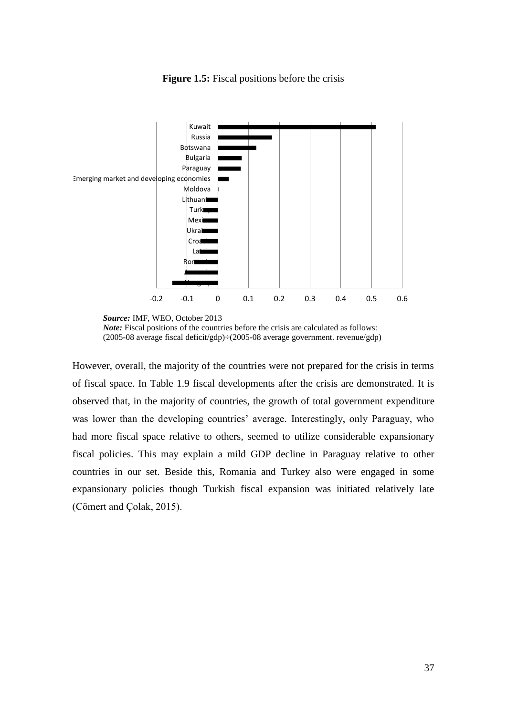

**Figure 1.5:** Fiscal positions before the crisis

*Note:* Fiscal positions of the countries before the crisis are calculated as follows: (2005-08 average fiscal deficit/gdp)÷(2005-08 average government. revenue/gdp)

However, overall, the majority of the countries were not prepared for the crisis in terms of fiscal space. In Table 1.9 fiscal developments after the crisis are demonstrated. It is observed that, in the majority of countries, the growth of total government expenditure was lower than the developing countries' average. Interestingly, only Paraguay, who had more fiscal space relative to others, seemed to utilize considerable expansionary fiscal policies. This may explain a mild GDP decline in Paraguay relative to other countries in our set. Beside this, Romania and Turkey also were engaged in some expansionary policies though Turkish fiscal expansion was initiated relatively late (Cömert and Çolak, 2015).

*Source:* IMF, WEO, October 2013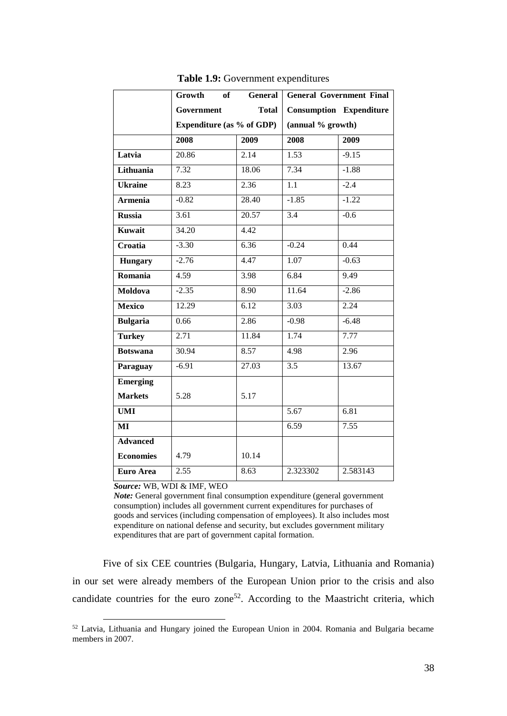|                  | of<br>Growth                     | General      | <b>General Government Final</b> |                                |  |  |
|------------------|----------------------------------|--------------|---------------------------------|--------------------------------|--|--|
|                  | Government                       | <b>Total</b> |                                 | <b>Consumption Expenditure</b> |  |  |
|                  | <b>Expenditure (as % of GDP)</b> |              | (annual % growth)               |                                |  |  |
|                  | 2008                             | 2009         | 2008                            | 2009                           |  |  |
| Latvia           | 20.86                            | 2.14         | 1.53                            | $-9.15$                        |  |  |
| Lithuania        | 7.32                             | 18.06        | 7.34                            | $-1.88$                        |  |  |
| <b>Ukraine</b>   | 8.23                             | 2.36         | 1.1                             | $-2.4$                         |  |  |
| <b>Armenia</b>   | $-0.82$                          | 28.40        | $-1.85$                         | $-1.22$                        |  |  |
| <b>Russia</b>    | 3.61                             | 20.57        | $\overline{3.4}$                | $-0.6$                         |  |  |
| <b>Kuwait</b>    | 34.20                            | 4.42         |                                 |                                |  |  |
| Croatia          | $-3.30$                          | 6.36         | $-0.24$                         | 0.44                           |  |  |
| <b>Hungary</b>   | $-2.76$                          | 4.47         | $\overline{1.07}$               | $-0.63$                        |  |  |
| Romania          | 4.59                             | 3.98         | 6.84                            | 9.49                           |  |  |
| <b>Moldova</b>   | $-2.35$                          | 8.90         | 11.64                           | $-2.86$                        |  |  |
| <b>Mexico</b>    | 12.29                            | 6.12         | 3.03                            | 2.24                           |  |  |
| <b>Bulgaria</b>  | 0.66                             | 2.86         | $-0.98$                         | $-6.48$                        |  |  |
| <b>Turkey</b>    | 2.71                             | 11.84        | 1.74                            | 7.77                           |  |  |
| <b>Botswana</b>  | 30.94                            | 8.57         | 4.98                            | 2.96                           |  |  |
| Paraguay         | $-6.91$                          | 27.03        | $\overline{3.5}$                | 13.67                          |  |  |
| <b>Emerging</b>  |                                  |              |                                 |                                |  |  |
| <b>Markets</b>   | 5.28                             | 5.17         |                                 |                                |  |  |
| <b>UMI</b>       |                                  |              | $\overline{5.67}$               | 6.81                           |  |  |
| MI               |                                  |              | 6.59                            | 7.55                           |  |  |
| <b>Advanced</b>  |                                  |              |                                 |                                |  |  |
| <b>Economies</b> | 4.79                             | 10.14        |                                 |                                |  |  |
| <b>Euro Area</b> | 2.55                             | 8.63         | 2.323302                        | 2.583143                       |  |  |

**Table 1.9:** Government expenditures

 *Source:* WB, WDI & IMF, WEO

1

*Note:* General government final consumption expenditure (general government consumption) includes all government current expenditures for purchases of goods and services (including compensation of employees). It also includes most expenditure on national defense and security, but excludes government military expenditures that are part of government capital formation.

Five of six CEE countries (Bulgaria, Hungary, Latvia, Lithuania and Romania) in our set were already members of the European Union prior to the crisis and also candidate countries for the euro zone<sup>52</sup>. According to the Maastricht criteria, which

<sup>52</sup> Latvia, Lithuania and Hungary joined the European Union in 2004. Romania and Bulgaria became members in 2007.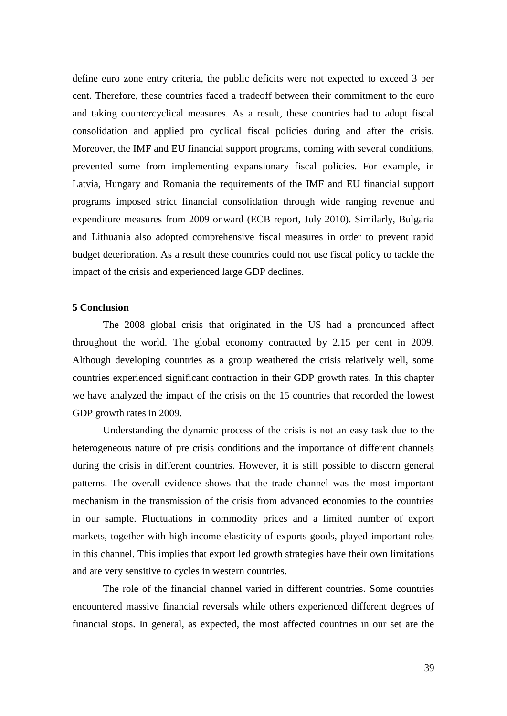define euro zone entry criteria, the public deficits were not expected to exceed 3 per cent. Therefore, these countries faced a tradeoff between their commitment to the euro and taking countercyclical measures. As a result, these countries had to adopt fiscal consolidation and applied pro cyclical fiscal policies during and after the crisis. Moreover, the IMF and EU financial support programs, coming with several conditions, prevented some from implementing expansionary fiscal policies. For example, in Latvia, Hungary and Romania the requirements of the IMF and EU financial support programs imposed strict financial consolidation through wide ranging revenue and expenditure measures from 2009 onward (ECB report, July 2010). Similarly, Bulgaria and Lithuania also adopted comprehensive fiscal measures in order to prevent rapid budget deterioration. As a result these countries could not use fiscal policy to tackle the impact of the crisis and experienced large GDP declines.

## **5 Conclusion**

The 2008 global crisis that originated in the US had a pronounced affect throughout the world. The global economy contracted by 2.15 per cent in 2009. Although developing countries as a group weathered the crisis relatively well, some countries experienced significant contraction in their GDP growth rates. In this chapter we have analyzed the impact of the crisis on the 15 countries that recorded the lowest GDP growth rates in 2009.

Understanding the dynamic process of the crisis is not an easy task due to the heterogeneous nature of pre crisis conditions and the importance of different channels during the crisis in different countries. However, it is still possible to discern general patterns. The overall evidence shows that the trade channel was the most important mechanism in the transmission of the crisis from advanced economies to the countries in our sample. Fluctuations in commodity prices and a limited number of export markets, together with high income elasticity of exports goods, played important roles in this channel. This implies that export led growth strategies have their own limitations and are very sensitive to cycles in western countries.

The role of the financial channel varied in different countries. Some countries encountered massive financial reversals while others experienced different degrees of financial stops. In general, as expected, the most affected countries in our set are the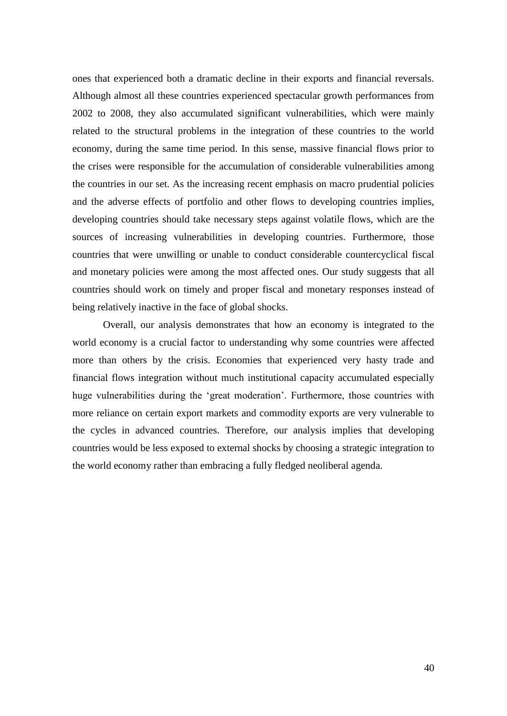ones that experienced both a dramatic decline in their exports and financial reversals. Although almost all these countries experienced spectacular growth performances from 2002 to 2008, they also accumulated significant vulnerabilities, which were mainly related to the structural problems in the integration of these countries to the world economy, during the same time period. In this sense, massive financial flows prior to the crises were responsible for the accumulation of considerable vulnerabilities among the countries in our set. As the increasing recent emphasis on macro prudential policies and the adverse effects of portfolio and other flows to developing countries implies, developing countries should take necessary steps against volatile flows, which are the sources of increasing vulnerabilities in developing countries. Furthermore, those countries that were unwilling or unable to conduct considerable countercyclical fiscal and monetary policies were among the most affected ones. Our study suggests that all countries should work on timely and proper fiscal and monetary responses instead of being relatively inactive in the face of global shocks.

Overall, our analysis demonstrates that how an economy is integrated to the world economy is a crucial factor to understanding why some countries were affected more than others by the crisis. Economies that experienced very hasty trade and financial flows integration without much institutional capacity accumulated especially huge vulnerabilities during the 'great moderation'. Furthermore, those countries with more reliance on certain export markets and commodity exports are very vulnerable to the cycles in advanced countries. Therefore, our analysis implies that developing countries would be less exposed to external shocks by choosing a strategic integration to the world economy rather than embracing a fully fledged neoliberal agenda.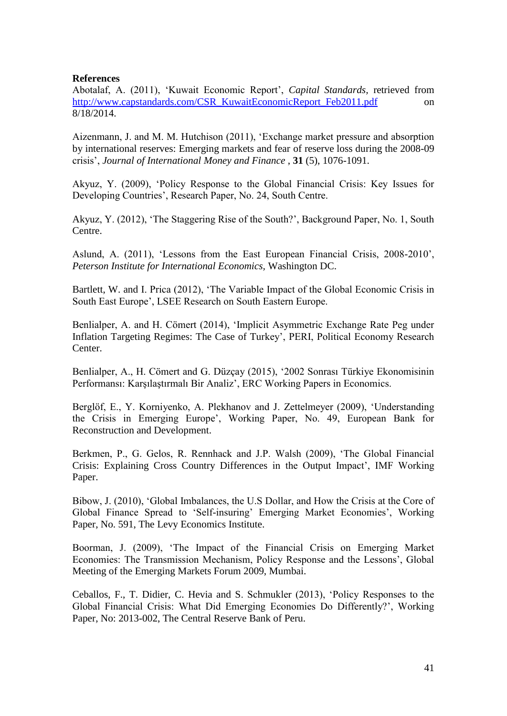# **References**

Abotalaf, A. (2011), 'Kuwait Economic Report', *Capital Standards,* retrieved from [http://www.capstandards.com/CSR\\_KuwaitEconomicReport\\_Feb2011.pdf](http://www.capstandards.com/CSR_KuwaitEconomicReport_Feb2011.pdf) on 8/18/2014.

Aizenmann, J. and M. M. Hutchison (2011), 'Exchange market pressure and absorption by international reserves: Emerging markets and fear of reserve loss during the 2008-09 crisis', *Journal of International Money and Finance* , **31** (5), 1076-1091.

Akyuz, Y. (2009), 'Policy Response to the Global Financial Crisis: Key Issues for Developing Countries', Research Paper, No. 24, South Centre.

Akyuz, Y. (2012), 'The Staggering Rise of the South?', Background Paper, No. 1, South Centre.

Aslund, A. (2011), 'Lessons from the East European Financial Crisis, 2008-2010', *Peterson Institute for International Economics,* Washington DC.

Bartlett, W. and I. Prica (2012), 'The Variable Impact of the Global Economic Crisis in South East Europe', LSEE Research on South Eastern Europe.

Benlialper, A. and H. Cömert (2014), 'Implicit Asymmetric Exchange Rate Peg under Inflation Targeting Regimes: The Case of Turkey', PERI, Political Economy Research Center.

Benlialper, A., H. Cömert and G. Düzçay (2015), '2002 Sonrası Türkiye Ekonomisinin Performansı: Karşılaştırmalı Bir Analiz', ERC Working Papers in Economics.

Berglöf, E., Y. Korniyenko, A. Plekhanov and J. Zettelmeyer (2009), 'Understanding the Crisis in Emerging Europe', Working Paper, No. 49, European Bank for Reconstruction and Development.

Berkmen, P., G. Gelos, R. Rennhack and J.P. Walsh (2009), 'The Global Financial Crisis: Explaining Cross Country Differences in the Output Impact', IMF Working Paper.

Bibow, J. (2010), 'Global Imbalances, the U.S Dollar, and How the Crisis at the Core of Global Finance Spread to 'Self-insuring' Emerging Market Economies', Working Paper, No. 591, The Levy Economics Institute.

Boorman, J. (2009), 'The Impact of the Financial Crisis on Emerging Market Economies: The Transmission Mechanism, Policy Response and the Lessons', Global Meeting of the Emerging Markets Forum 2009, Mumbai.

Ceballos, F., T. Didier, C. Hevia and S. Schmukler (2013), 'Policy Responses to the Global Financial Crisis: What Did Emerging Economies Do Differently?', Working Paper, No: 2013-002, The Central Reserve Bank of Peru.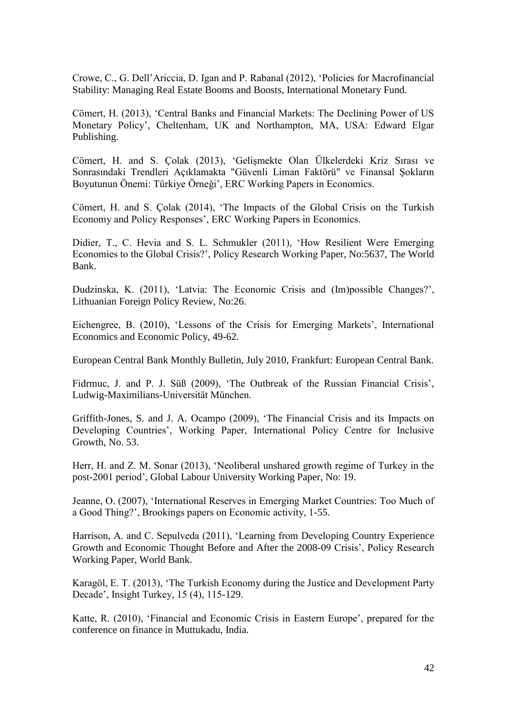Crowe, C., G. Dell'Ariccia, D. Igan and P. Rabanal (2012), 'Policies for Macrofinancial Stability: Managing Real Estate Booms and Boosts, International Monetary Fund.

Cömert, H. (2013), 'Central Banks and Financial Markets: The Declining Power of US Monetary Policy', Cheltenham, UK and Northampton, MA, USA: Edward Elgar Publishing.

Cömert, H. and S. Çolak (2013), 'Gelişmekte Olan Ülkelerdeki Kriz Sırası ve Sonrasındaki Trendleri Açıklamakta "Güvenli Liman Faktörü" ve Finansal Şokların Boyutunun Önemi: Türkiye Örneği', ERC Working Papers in Economics.

Cömert, H. and S. Çolak (2014), 'The Impacts of the Global Crisis on the Turkish Economy and Policy Responses', ERC Working Papers in Economics.

Didier, T., C. Hevia and S. L. Schmukler (2011), 'How Resilient Were Emerging Economies to the Global Crisis?', Policy Research Working Paper, No:5637, The World Bank.

Dudzinska, K. (2011), 'Latvia: The Economic Crisis and (Im)possible Changes?', Lithuanian Foreign Policy Review, No:26.

Eichengree, B. (2010), 'Lessons of the Crisis for Emerging Markets', International Economics and Economic Policy, 49-62.

European Central Bank Monthly Bulletin, July 2010, Frankfurt: European Central Bank.

Fidrmuc, J. and P. J. Süß (2009), 'The Outbreak of the Russian Financial Crisis', Ludwig-Maximilians-Universität München.

Griffith-Jones, S. and J. A. Ocampo (2009), 'The Financial Crisis and its Impacts on Developing Countries', Working Paper, International Policy Centre for Inclusive Growth, No. 53.

Herr, H. and Z. M. Sonar (2013), 'Neoliberal unshared growth regime of Turkey in the post-2001 period', Global Labour University Working Paper, No: 19.

Jeanne, O. (2007), 'International Reserves in Emerging Market Countries: Too Much of a Good Thing?', Brookings papers on Economic activity, 1-55.

Harrison, A. and C. Sepulveda (2011), 'Learning from Developing Country Experience Growth and Economic Thought Before and After the 2008-09 Crisis', Policy Research Working Paper, World Bank.

Karagöl, E. T. (2013), 'The Turkish Economy during the Justice and Development Party Decade', Insight Turkey, 15 (4), 115-129.

Katte, R. (2010), 'Financial and Economic Crisis in Eastern Europe', prepared for the conference on finance in Muttukadu, India.